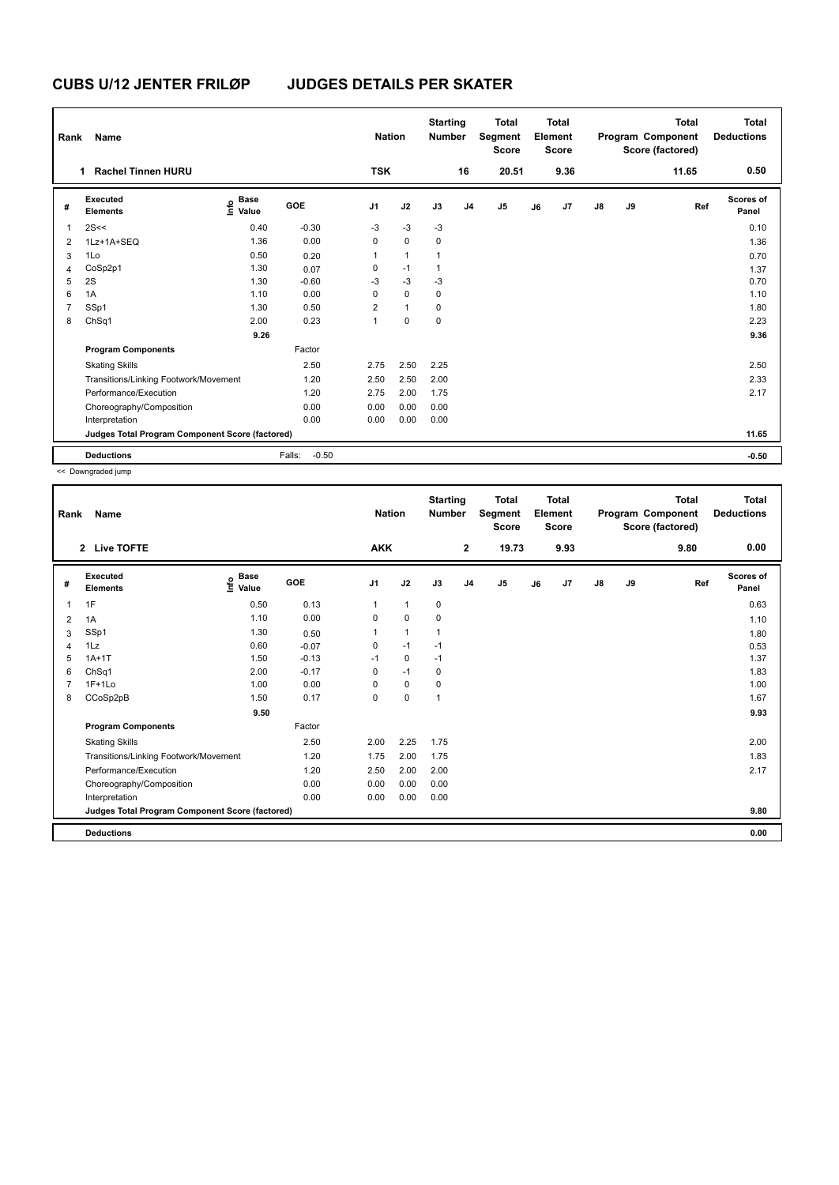| Rank | <b>Name</b>                                     |                                  |                   | <b>Nation</b>  |                | <b>Starting</b><br><b>Number</b> |                | <b>Total</b><br>Segment<br><b>Score</b> |    | Total<br>Element<br><b>Score</b> |               |    | Total<br>Program Component<br>Score (factored) | <b>Total</b><br><b>Deductions</b> |
|------|-------------------------------------------------|----------------------------------|-------------------|----------------|----------------|----------------------------------|----------------|-----------------------------------------|----|----------------------------------|---------------|----|------------------------------------------------|-----------------------------------|
|      | <b>Rachel Tinnen HURU</b><br>1                  |                                  |                   | <b>TSK</b>     |                |                                  | 16             | 20.51                                   |    | 9.36                             |               |    | 11.65                                          | 0.50                              |
| #    | Executed<br><b>Elements</b>                     | <b>Base</b><br>e Base<br>E Value | GOE               | J <sub>1</sub> | J2             | J3                               | J <sub>4</sub> | J <sub>5</sub>                          | J6 | J7                               | $\mathsf{J}8$ | J9 | Ref                                            | Scores of<br>Panel                |
| 1    | 2S<<                                            | 0.40                             | $-0.30$           | $-3$           | $-3$           | $-3$                             |                |                                         |    |                                  |               |    |                                                | 0.10                              |
| 2    | 1Lz+1A+SEQ                                      | 1.36                             | 0.00              | 0              | $\mathbf 0$    | 0                                |                |                                         |    |                                  |               |    |                                                | 1.36                              |
| 3    | 1Lo                                             | 0.50                             | 0.20              | 1              | $\overline{1}$ |                                  |                |                                         |    |                                  |               |    |                                                | 0.70                              |
| 4    | CoSp2p1                                         | 1.30                             | 0.07              | 0              | $-1$           | 1                                |                |                                         |    |                                  |               |    |                                                | 1.37                              |
| 5    | 2S                                              | 1.30                             | $-0.60$           | $-3$           | $-3$           | $-3$                             |                |                                         |    |                                  |               |    |                                                | 0.70                              |
| 6    | 1A                                              | 1.10                             | 0.00              | 0              | $\mathbf 0$    | 0                                |                |                                         |    |                                  |               |    |                                                | 1.10                              |
|      | SSp1                                            | 1.30                             | 0.50              | 2              | $\mathbf{1}$   | 0                                |                |                                         |    |                                  |               |    |                                                | 1.80                              |
| 8    | ChSq1                                           | 2.00                             | 0.23              | 1              | $\mathbf 0$    | $\mathbf 0$                      |                |                                         |    |                                  |               |    |                                                | 2.23                              |
|      |                                                 | 9.26                             |                   |                |                |                                  |                |                                         |    |                                  |               |    |                                                | 9.36                              |
|      | <b>Program Components</b>                       |                                  | Factor            |                |                |                                  |                |                                         |    |                                  |               |    |                                                |                                   |
|      | <b>Skating Skills</b>                           |                                  | 2.50              | 2.75           | 2.50           | 2.25                             |                |                                         |    |                                  |               |    |                                                | 2.50                              |
|      | Transitions/Linking Footwork/Movement           |                                  | 1.20              | 2.50           | 2.50           | 2.00                             |                |                                         |    |                                  |               |    |                                                | 2.33                              |
|      | Performance/Execution                           |                                  | 1.20              | 2.75           | 2.00           | 1.75                             |                |                                         |    |                                  |               |    |                                                | 2.17                              |
|      | Choreography/Composition                        |                                  | 0.00              | 0.00           | 0.00           | 0.00                             |                |                                         |    |                                  |               |    |                                                |                                   |
|      | Interpretation                                  |                                  | 0.00              | 0.00           | 0.00           | 0.00                             |                |                                         |    |                                  |               |    |                                                |                                   |
|      | Judges Total Program Component Score (factored) |                                  |                   |                |                |                                  |                |                                         |    |                                  |               |    |                                                | 11.65                             |
|      | <b>Deductions</b>                               |                                  | $-0.50$<br>Falls: |                |                |                                  |                |                                         |    |                                  |               |    |                                                | $-0.50$                           |

<< Downgraded jump

| Rank | Name                                            |                                  |         | <b>Nation</b>  |              | <b>Starting</b><br><b>Number</b> |                | <b>Total</b><br>Segment<br><b>Score</b> |    | <b>Total</b><br>Element<br><b>Score</b> |               |    | <b>Total</b><br>Program Component<br>Score (factored) | <b>Total</b><br><b>Deductions</b> |
|------|-------------------------------------------------|----------------------------------|---------|----------------|--------------|----------------------------------|----------------|-----------------------------------------|----|-----------------------------------------|---------------|----|-------------------------------------------------------|-----------------------------------|
|      | 2 Live TOFTE                                    |                                  |         | <b>AKK</b>     |              |                                  | $\mathbf{2}$   | 19.73                                   |    | 9.93                                    |               |    | 9.80                                                  | 0.00                              |
| #    | <b>Executed</b><br><b>Elements</b>              | <b>Base</b><br>e Base<br>⊑ Value | GOE     | J <sub>1</sub> | J2           | J3                               | J <sub>4</sub> | J5                                      | J6 | J7                                      | $\mathsf{J}8$ | J9 | Ref                                                   | <b>Scores of</b><br>Panel         |
| 1    | 1F                                              | 0.50                             | 0.13    | 1              | $\mathbf{1}$ | 0                                |                |                                         |    |                                         |               |    |                                                       | 0.63                              |
| 2    | 1A                                              | 1.10                             | 0.00    | $\Omega$       | $\mathbf 0$  | 0                                |                |                                         |    |                                         |               |    |                                                       | 1.10                              |
| 3    | SSp1                                            | 1.30                             | 0.50    |                | $\mathbf{1}$ | $\mathbf 1$                      |                |                                         |    |                                         |               |    |                                                       | 1.80                              |
| 4    | 1Lz                                             | 0.60                             | $-0.07$ | 0              | $-1$         | $-1$                             |                |                                         |    |                                         |               |    |                                                       | 0.53                              |
| 5    | $1A+1T$                                         | 1.50                             | $-0.13$ | $-1$           | 0            | $-1$                             |                |                                         |    |                                         |               |    |                                                       | 1.37                              |
| 6    | ChSq1                                           | 2.00                             | $-0.17$ | 0              | $-1$         | 0                                |                |                                         |    |                                         |               |    |                                                       | 1.83                              |
|      | $1F+1Lo$                                        | 1.00                             | 0.00    | 0              | $\mathbf 0$  | 0                                |                |                                         |    |                                         |               |    |                                                       | 1.00                              |
| 8    | CCoSp2pB                                        | 1.50                             | 0.17    | 0              | $\pmb{0}$    | 1                                |                |                                         |    |                                         |               |    |                                                       | 1.67                              |
|      |                                                 | 9.50                             |         |                |              |                                  |                |                                         |    |                                         |               |    |                                                       | 9.93                              |
|      | <b>Program Components</b>                       |                                  | Factor  |                |              |                                  |                |                                         |    |                                         |               |    |                                                       |                                   |
|      | <b>Skating Skills</b>                           |                                  | 2.50    | 2.00           | 2.25         | 1.75                             |                |                                         |    |                                         |               |    |                                                       | 2.00                              |
|      | Transitions/Linking Footwork/Movement           |                                  | 1.20    | 1.75           | 2.00         | 1.75                             |                |                                         |    |                                         |               |    |                                                       | 1.83                              |
|      | Performance/Execution                           |                                  | 1.20    | 2.50           | 2.00         | 2.00                             |                |                                         |    |                                         |               |    |                                                       | 2.17                              |
|      | Choreography/Composition                        |                                  | 0.00    | 0.00           | 0.00         | 0.00                             |                |                                         |    |                                         |               |    |                                                       |                                   |
|      | Interpretation                                  |                                  | 0.00    | 0.00           | 0.00         | 0.00                             |                |                                         |    |                                         |               |    |                                                       |                                   |
|      | Judges Total Program Component Score (factored) |                                  |         |                |              |                                  |                |                                         |    |                                         |               |    |                                                       | 9.80                              |
|      | <b>Deductions</b>                               |                                  |         |                |              |                                  |                |                                         |    |                                         |               |    |                                                       | 0.00                              |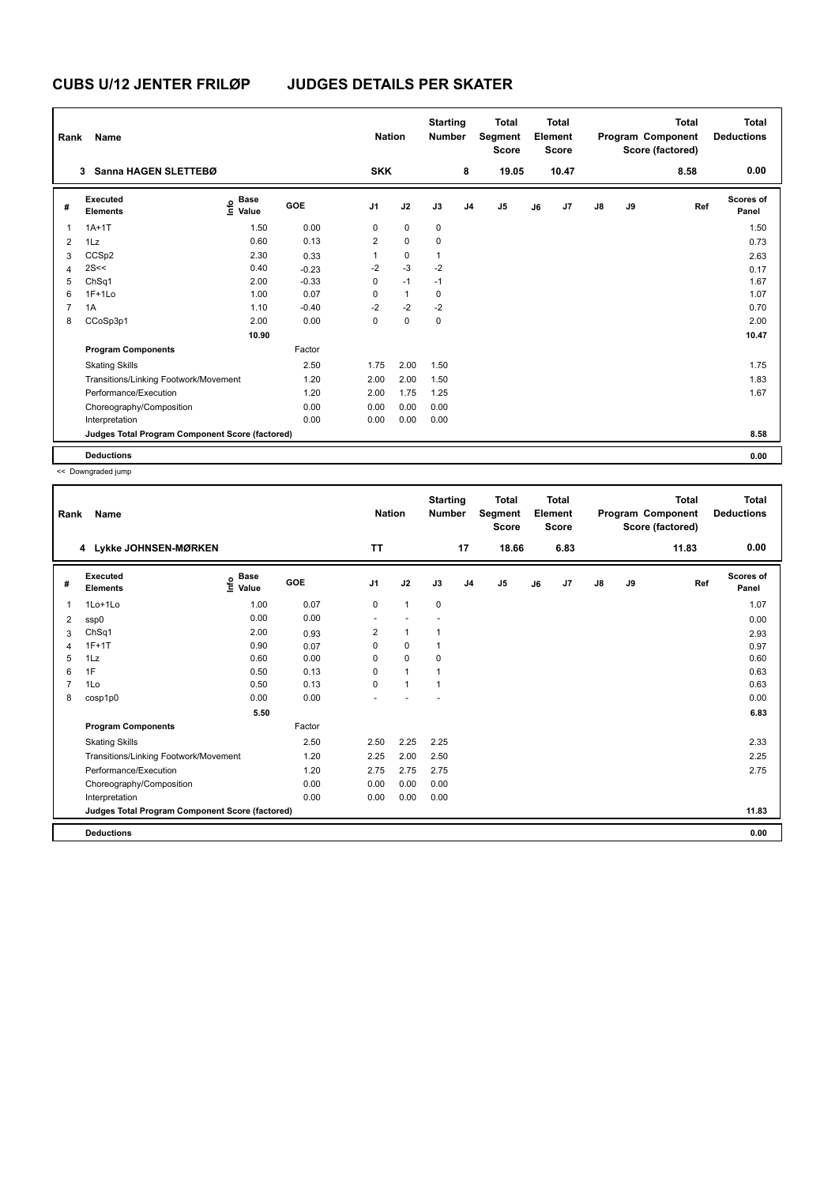| Rank           | Name                                            |                                       |            | <b>Nation</b>  |              | <b>Starting</b><br><b>Number</b> |                | <b>Total</b><br>Segment<br><b>Score</b> |    | <b>Total</b><br>Element<br><b>Score</b> |               |    | <b>Total</b><br>Program Component<br>Score (factored) | <b>Total</b><br><b>Deductions</b> |
|----------------|-------------------------------------------------|---------------------------------------|------------|----------------|--------------|----------------------------------|----------------|-----------------------------------------|----|-----------------------------------------|---------------|----|-------------------------------------------------------|-----------------------------------|
|                | Sanna HAGEN SLETTEBØ<br>3                       |                                       |            | <b>SKK</b>     |              |                                  | 8              | 19.05                                   |    | 10.47                                   |               |    | 8.58                                                  | 0.00                              |
| #              | Executed<br><b>Elements</b>                     | <b>Base</b><br>$\sum_{i=1}^{6}$ Value | <b>GOE</b> | J <sub>1</sub> | J2           | J3                               | J <sub>4</sub> | J <sub>5</sub>                          | J6 | J7                                      | $\mathsf{J}8$ | J9 | Ref                                                   | Scores of<br>Panel                |
| 1              | $1A+1T$                                         | 1.50                                  | 0.00       | 0              | $\mathbf 0$  | $\mathbf 0$                      |                |                                         |    |                                         |               |    |                                                       | 1.50                              |
| 2              | 1Lz                                             | 0.60                                  | 0.13       | 2              | $\mathbf 0$  | $\mathbf 0$                      |                |                                         |    |                                         |               |    |                                                       | 0.73                              |
| 3              | CCSp2                                           | 2.30                                  | 0.33       | 1              | $\mathbf 0$  | $\mathbf{1}$                     |                |                                         |    |                                         |               |    |                                                       | 2.63                              |
| 4              | 2S<<                                            | 0.40                                  | $-0.23$    | $-2$           | $-3$         | $-2$                             |                |                                         |    |                                         |               |    |                                                       | 0.17                              |
| 5              | ChSq1                                           | 2.00                                  | $-0.33$    | 0              | $-1$         | $-1$                             |                |                                         |    |                                         |               |    |                                                       | 1.67                              |
| 6              | $1F+1Lo$                                        | 1.00                                  | 0.07       | 0              | $\mathbf{1}$ | 0                                |                |                                         |    |                                         |               |    |                                                       | 1.07                              |
| $\overline{7}$ | 1A                                              | 1.10                                  | $-0.40$    | $-2$           | $-2$         | $-2$                             |                |                                         |    |                                         |               |    |                                                       | 0.70                              |
| 8              | CCoSp3p1                                        | 2.00                                  | 0.00       | 0              | $\mathbf 0$  | $\mathbf 0$                      |                |                                         |    |                                         |               |    |                                                       | 2.00                              |
|                |                                                 | 10.90                                 |            |                |              |                                  |                |                                         |    |                                         |               |    |                                                       | 10.47                             |
|                | <b>Program Components</b>                       |                                       | Factor     |                |              |                                  |                |                                         |    |                                         |               |    |                                                       |                                   |
|                | <b>Skating Skills</b>                           |                                       | 2.50       | 1.75           | 2.00         | 1.50                             |                |                                         |    |                                         |               |    |                                                       | 1.75                              |
|                | Transitions/Linking Footwork/Movement           |                                       | 1.20       | 2.00           | 2.00         | 1.50                             |                |                                         |    |                                         |               |    |                                                       | 1.83                              |
|                | Performance/Execution                           |                                       | 1.20       | 2.00           | 1.75         | 1.25                             |                |                                         |    |                                         |               |    |                                                       | 1.67                              |
|                | Choreography/Composition                        |                                       | 0.00       | 0.00           | 0.00         | 0.00                             |                |                                         |    |                                         |               |    |                                                       |                                   |
|                | Interpretation                                  |                                       | 0.00       | 0.00           | 0.00         | 0.00                             |                |                                         |    |                                         |               |    |                                                       |                                   |
|                | Judges Total Program Component Score (factored) |                                       |            |                |              |                                  |                |                                         |    |                                         |               |    |                                                       | 8.58                              |
|                | <b>Deductions</b>                               |                                       |            |                |              |                                  |                |                                         |    |                                         |               |    |                                                       | 0.00                              |

<< Downgraded jump

|                                                                                                                                                                                 | 0.00                             |
|---------------------------------------------------------------------------------------------------------------------------------------------------------------------------------|----------------------------------|
| <b>TT</b><br>17<br>18.66<br>6.83<br>11.83<br>4 Lykke JOHNSEN-MØRKEN                                                                                                             |                                  |
| Executed<br><b>Base</b><br>e <sup>Base</sup><br>⊆ Value<br>GOE<br>J <sub>1</sub><br>J2<br>J3<br>J <sub>4</sub><br>J5<br>J7<br>$\mathsf{J}8$<br>J9<br>J6<br>#<br><b>Elements</b> | <b>Scores of</b><br>Ref<br>Panel |
| 0.07<br>1Lo+1Lo<br>1.00<br>$\mathbf 0$<br>$\mathbf{1}$<br>$\mathbf 0$<br>1                                                                                                      | 1.07                             |
| 0.00<br>0.00<br>2<br>ssp0                                                                                                                                                       | 0.00                             |
| ChSq1<br>2.00<br>2<br>$\mathbf{1}$<br>1<br>0.93<br>3                                                                                                                            | 2.93                             |
| $1F+1T$<br>0.90<br>0<br>0<br>1<br>0.07<br>4                                                                                                                                     | 0.97                             |
| 0.00<br>1Lz<br>0.60<br>0<br>5<br>0<br>$\mathbf 0$                                                                                                                               | 0.60                             |
| 1F<br>0.50<br>0.13<br>$\mathbf{1}$<br>6<br>$\Omega$<br>1                                                                                                                        | 0.63                             |
| 1Lo<br>0.50<br>0.13<br>$\Omega$<br>$\mathbf{1}$<br>7<br>1                                                                                                                       | 0.63                             |
| 0.00<br>0.00<br>8<br>cosp1p0                                                                                                                                                    | 0.00                             |
| 5.50                                                                                                                                                                            | 6.83                             |
| <b>Program Components</b><br>Factor                                                                                                                                             |                                  |
| 2.50<br>2.25<br><b>Skating Skills</b><br>2.50<br>2.25                                                                                                                           | 2.33                             |
| 1.20<br>2.25<br>2.00<br>2.50<br>Transitions/Linking Footwork/Movement                                                                                                           | 2.25                             |
| Performance/Execution<br>1.20<br>2.75<br>2.75<br>2.75                                                                                                                           | 2.75                             |
| Choreography/Composition<br>0.00<br>0.00<br>0.00<br>0.00                                                                                                                        |                                  |
| 0.00<br>Interpretation<br>0.00<br>0.00<br>0.00                                                                                                                                  |                                  |
| Judges Total Program Component Score (factored)                                                                                                                                 | 11.83                            |
| <b>Deductions</b>                                                                                                                                                               | 0.00                             |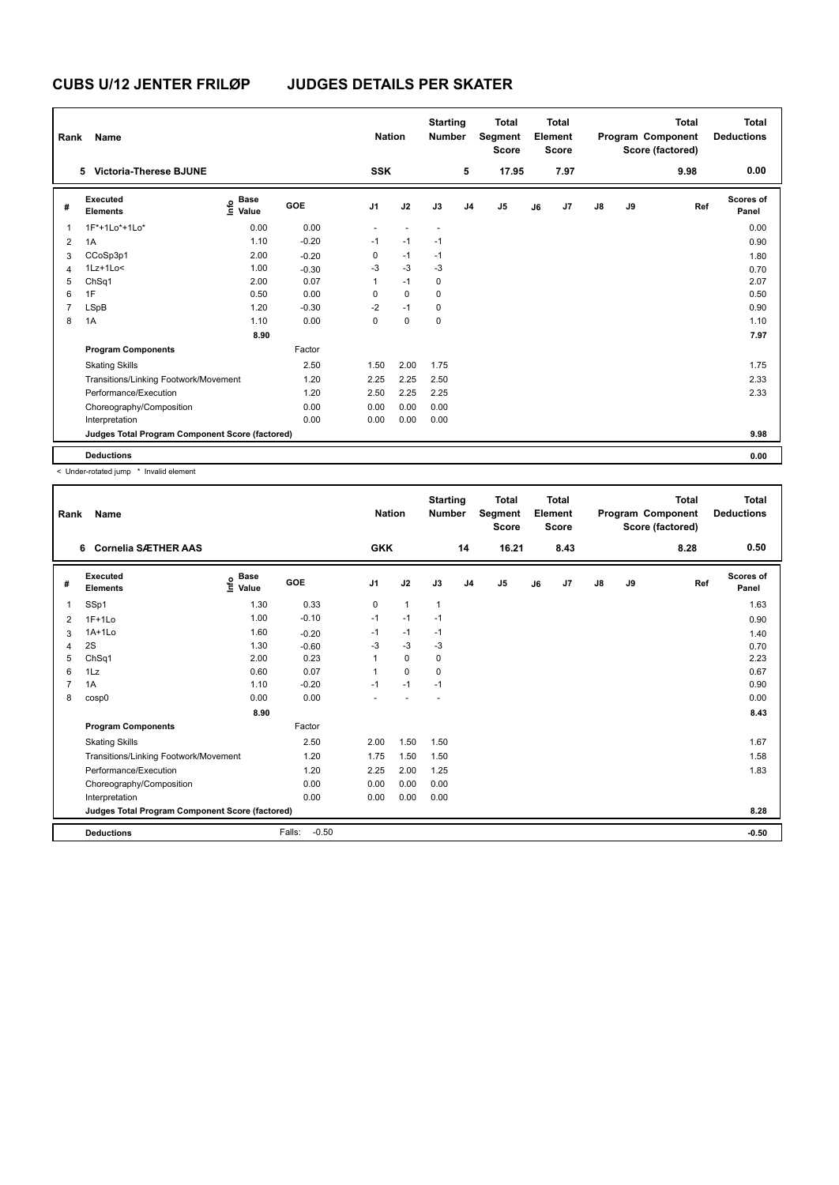| Rank           | <b>Name</b>                                     |                           |            | <b>Nation</b>  |             | <b>Starting</b><br><b>Number</b> |                | <b>Total</b><br>Segment<br><b>Score</b> |    | <b>Total</b><br>Element<br><b>Score</b> |               |    | <b>Total</b><br>Program Component<br>Score (factored) | <b>Total</b><br><b>Deductions</b> |
|----------------|-------------------------------------------------|---------------------------|------------|----------------|-------------|----------------------------------|----------------|-----------------------------------------|----|-----------------------------------------|---------------|----|-------------------------------------------------------|-----------------------------------|
|                | <b>Victoria-Therese BJUNE</b><br>5              |                           |            | <b>SSK</b>     |             |                                  | 5              | 17.95                                   |    | 7.97                                    |               |    | 9.98                                                  | 0.00                              |
| #              | Executed<br><b>Elements</b>                     | Base<br>e Base<br>E Value | <b>GOE</b> | J <sub>1</sub> | J2          | J3                               | J <sub>4</sub> | J <sub>5</sub>                          | J6 | J7                                      | $\mathsf{J}8$ | J9 | Ref                                                   | Scores of<br>Panel                |
| 1              | 1F*+1Lo*+1Lo*                                   | 0.00                      | 0.00       |                |             | $\overline{\phantom{a}}$         |                |                                         |    |                                         |               |    |                                                       | 0.00                              |
| 2              | 1A                                              | 1.10                      | $-0.20$    | $-1$           | $-1$        | $-1$                             |                |                                         |    |                                         |               |    |                                                       | 0.90                              |
| 3              | CCoSp3p1                                        | 2.00                      | $-0.20$    | 0              | $-1$        | $-1$                             |                |                                         |    |                                         |               |    |                                                       | 1.80                              |
| 4              | $1Lz+1Lo<$                                      | 1.00                      | $-0.30$    | -3             | $-3$        | $-3$                             |                |                                         |    |                                         |               |    |                                                       | 0.70                              |
| 5              | ChSq1                                           | 2.00                      | 0.07       | 1              | $-1$        | 0                                |                |                                         |    |                                         |               |    |                                                       | 2.07                              |
| 6              | 1F                                              | 0.50                      | 0.00       | 0              | $\mathbf 0$ | 0                                |                |                                         |    |                                         |               |    |                                                       | 0.50                              |
| $\overline{7}$ | LSpB                                            | 1.20                      | $-0.30$    | $-2$           | $-1$        | 0                                |                |                                         |    |                                         |               |    |                                                       | 0.90                              |
| 8              | 1A                                              | 1.10                      | 0.00       | 0              | $\mathbf 0$ | $\mathbf 0$                      |                |                                         |    |                                         |               |    |                                                       | 1.10                              |
|                |                                                 | 8.90                      |            |                |             |                                  |                |                                         |    |                                         |               |    |                                                       | 7.97                              |
|                | <b>Program Components</b>                       |                           | Factor     |                |             |                                  |                |                                         |    |                                         |               |    |                                                       |                                   |
|                | <b>Skating Skills</b>                           |                           | 2.50       | 1.50           | 2.00        | 1.75                             |                |                                         |    |                                         |               |    |                                                       | 1.75                              |
|                | Transitions/Linking Footwork/Movement           |                           | 1.20       | 2.25           | 2.25        | 2.50                             |                |                                         |    |                                         |               |    |                                                       | 2.33                              |
|                | Performance/Execution                           |                           | 1.20       | 2.50           | 2.25        | 2.25                             |                |                                         |    |                                         |               |    |                                                       | 2.33                              |
|                | Choreography/Composition                        |                           | 0.00       | 0.00           | 0.00        | 0.00                             |                |                                         |    |                                         |               |    |                                                       |                                   |
|                | Interpretation                                  |                           | 0.00       | 0.00           | 0.00        | 0.00                             |                |                                         |    |                                         |               |    |                                                       |                                   |
|                | Judges Total Program Component Score (factored) |                           |            |                |             |                                  |                |                                         |    |                                         |               |    |                                                       | 9.98                              |
|                | <b>Deductions</b>                               |                           |            |                |             |                                  |                |                                         |    |                                         |               |    |                                                       | 0.00                              |

< Under-rotated jump \* Invalid element

| Rank           | Name                                            |                                  |                   | <b>Nation</b>  |              | <b>Starting</b><br><b>Number</b> |                | <b>Total</b><br>Segment<br><b>Score</b> |    | <b>Total</b><br>Element<br><b>Score</b> |    |    | <b>Total</b><br>Program Component<br>Score (factored) | Total<br><b>Deductions</b> |
|----------------|-------------------------------------------------|----------------------------------|-------------------|----------------|--------------|----------------------------------|----------------|-----------------------------------------|----|-----------------------------------------|----|----|-------------------------------------------------------|----------------------------|
|                | <b>Cornelia SÆTHER AAS</b><br>6                 |                                  |                   | <b>GKK</b>     |              |                                  | 14             | 16.21                                   |    | 8.43                                    |    |    | 8.28                                                  | 0.50                       |
| #              | Executed<br><b>Elements</b>                     | <b>Base</b><br>e Base<br>⊑ Value | GOE               | J <sub>1</sub> | J2           | J3                               | J <sub>4</sub> | J <sub>5</sub>                          | J6 | J7                                      | J8 | J9 | Ref                                                   | Scores of<br>Panel         |
| 1              | SSp1                                            | 1.30                             | 0.33              | $\mathbf 0$    | $\mathbf{1}$ | 1                                |                |                                         |    |                                         |    |    |                                                       | 1.63                       |
| 2              | $1F+1Lo$                                        | 1.00                             | $-0.10$           | $-1$           | $-1$         | $-1$                             |                |                                         |    |                                         |    |    |                                                       | 0.90                       |
| 3              | $1A+1Lo$                                        | 1.60                             | $-0.20$           | $-1$           | $-1$         | $-1$                             |                |                                         |    |                                         |    |    |                                                       | 1.40                       |
| 4              | 2S                                              | 1.30                             | $-0.60$           | $-3$           | $-3$         | $-3$                             |                |                                         |    |                                         |    |    |                                                       | 0.70                       |
| 5              | ChSq1                                           | 2.00                             | 0.23              |                | $\mathbf 0$  | 0                                |                |                                         |    |                                         |    |    |                                                       | 2.23                       |
| 6              | 1Lz                                             | 0.60                             | 0.07              | 1              | $\Omega$     | $\Omega$                         |                |                                         |    |                                         |    |    |                                                       | 0.67                       |
| $\overline{7}$ | 1A                                              | 1.10                             | $-0.20$           | $-1$           | $-1$         | $-1$                             |                |                                         |    |                                         |    |    |                                                       | 0.90                       |
| 8              | cosp0                                           | 0.00                             | 0.00              |                |              |                                  |                |                                         |    |                                         |    |    |                                                       | 0.00                       |
|                |                                                 | 8.90                             |                   |                |              |                                  |                |                                         |    |                                         |    |    |                                                       | 8.43                       |
|                | <b>Program Components</b>                       |                                  | Factor            |                |              |                                  |                |                                         |    |                                         |    |    |                                                       |                            |
|                | <b>Skating Skills</b>                           |                                  | 2.50              | 2.00           | 1.50         | 1.50                             |                |                                         |    |                                         |    |    |                                                       | 1.67                       |
|                | Transitions/Linking Footwork/Movement           |                                  | 1.20              | 1.75           | 1.50         | 1.50                             |                |                                         |    |                                         |    |    |                                                       | 1.58                       |
|                | Performance/Execution                           |                                  | 1.20              | 2.25           | 2.00         | 1.25                             |                |                                         |    |                                         |    |    |                                                       | 1.83                       |
|                | Choreography/Composition                        |                                  | 0.00              | 0.00           | 0.00         | 0.00                             |                |                                         |    |                                         |    |    |                                                       |                            |
|                | Interpretation                                  |                                  | 0.00              | 0.00           | 0.00         | 0.00                             |                |                                         |    |                                         |    |    |                                                       |                            |
|                | Judges Total Program Component Score (factored) |                                  |                   |                |              |                                  |                |                                         |    |                                         |    |    |                                                       | 8.28                       |
|                | <b>Deductions</b>                               |                                  | Falls:<br>$-0.50$ |                |              |                                  |                |                                         |    |                                         |    |    |                                                       | $-0.50$                    |
|                |                                                 |                                  |                   |                |              |                                  |                |                                         |    |                                         |    |    |                                                       |                            |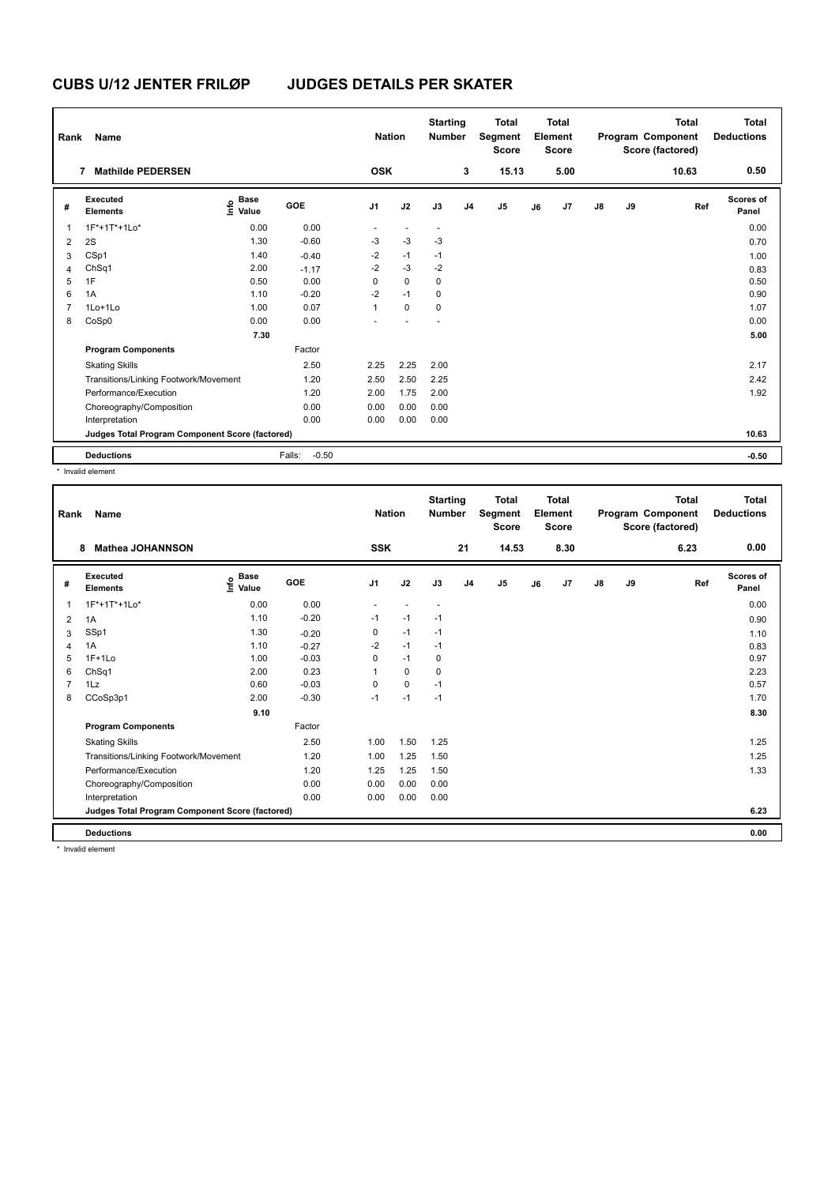| Rank           | <b>Name</b>                                     |                                  |                   | <b>Nation</b>  |                          | <b>Starting</b><br><b>Number</b> |                | <b>Total</b><br>Segment<br><b>Score</b> |    | <b>Total</b><br>Element<br>Score |               |    | <b>Total</b><br>Program Component<br>Score (factored) | <b>Total</b><br><b>Deductions</b> |
|----------------|-------------------------------------------------|----------------------------------|-------------------|----------------|--------------------------|----------------------------------|----------------|-----------------------------------------|----|----------------------------------|---------------|----|-------------------------------------------------------|-----------------------------------|
|                | <b>Mathilde PEDERSEN</b><br>7                   |                                  |                   | <b>OSK</b>     |                          |                                  | 3              | 15.13                                   |    | 5.00                             |               |    | 10.63                                                 | 0.50                              |
| #              | Executed<br><b>Elements</b>                     | <b>Base</b><br>e Base<br>E Value | GOE               | J <sub>1</sub> | J2                       | J3                               | J <sub>4</sub> | J <sub>5</sub>                          | J6 | J7                               | $\mathsf{J}8$ | J9 | Ref                                                   | Scores of<br>Panel                |
| 1              | 1F*+1T*+1Lo*                                    | 0.00                             | 0.00              | ٠              | $\overline{\phantom{a}}$ | $\overline{\phantom{a}}$         |                |                                         |    |                                  |               |    |                                                       | 0.00                              |
| 2              | 2S                                              | 1.30                             | $-0.60$           | $-3$           | $-3$                     | $-3$                             |                |                                         |    |                                  |               |    |                                                       | 0.70                              |
| 3              | CSp1                                            | 1.40                             | $-0.40$           | $-2$           | $-1$                     | $-1$                             |                |                                         |    |                                  |               |    |                                                       | 1.00                              |
| 4              | ChSq1                                           | 2.00                             | $-1.17$           | $-2$           | $-3$                     | $-2$                             |                |                                         |    |                                  |               |    |                                                       | 0.83                              |
| 5              | 1F                                              | 0.50                             | 0.00              | 0              | $\mathbf 0$              | $\mathbf 0$                      |                |                                         |    |                                  |               |    |                                                       | 0.50                              |
| 6              | 1A                                              | 1.10                             | $-0.20$           | $-2$           | $-1$                     | 0                                |                |                                         |    |                                  |               |    |                                                       | 0.90                              |
| $\overline{7}$ | 1Lo+1Lo                                         | 1.00                             | 0.07              | 1              | $\mathbf 0$              | $\mathbf 0$                      |                |                                         |    |                                  |               |    |                                                       | 1.07                              |
| 8              | CoSp0                                           | 0.00                             | 0.00              | ÷              |                          | ÷,                               |                |                                         |    |                                  |               |    |                                                       | 0.00                              |
|                |                                                 | 7.30                             |                   |                |                          |                                  |                |                                         |    |                                  |               |    |                                                       | 5.00                              |
|                | <b>Program Components</b>                       |                                  | Factor            |                |                          |                                  |                |                                         |    |                                  |               |    |                                                       |                                   |
|                | <b>Skating Skills</b>                           |                                  | 2.50              | 2.25           | 2.25                     | 2.00                             |                |                                         |    |                                  |               |    |                                                       | 2.17                              |
|                | Transitions/Linking Footwork/Movement           |                                  | 1.20              | 2.50           | 2.50                     | 2.25                             |                |                                         |    |                                  |               |    |                                                       | 2.42                              |
|                | Performance/Execution                           |                                  | 1.20              | 2.00           | 1.75                     | 2.00                             |                |                                         |    |                                  |               |    |                                                       | 1.92                              |
|                | Choreography/Composition                        |                                  | 0.00              | 0.00           | 0.00                     | 0.00                             |                |                                         |    |                                  |               |    |                                                       |                                   |
|                | Interpretation                                  |                                  | 0.00              | 0.00           | 0.00                     | 0.00                             |                |                                         |    |                                  |               |    |                                                       |                                   |
|                | Judges Total Program Component Score (factored) |                                  |                   |                |                          |                                  |                |                                         |    |                                  |               |    |                                                       | 10.63                             |
|                | <b>Deductions</b>                               |                                  | $-0.50$<br>Falls: |                |                          |                                  |                |                                         |    |                                  |               |    |                                                       | $-0.50$                           |

\* Invalid element

| Rank | Name                                            |                                  |            | <b>Nation</b>  |             | <b>Starting</b><br><b>Number</b> |                | <b>Total</b><br>Segment<br><b>Score</b> |    | Total<br>Element<br><b>Score</b> |               |    | <b>Total</b><br>Program Component<br>Score (factored) | Total<br><b>Deductions</b> |
|------|-------------------------------------------------|----------------------------------|------------|----------------|-------------|----------------------------------|----------------|-----------------------------------------|----|----------------------------------|---------------|----|-------------------------------------------------------|----------------------------|
|      | <b>Mathea JOHANNSON</b><br>8                    |                                  |            | <b>SSK</b>     |             |                                  | 21             | 14.53                                   |    | 8.30                             |               |    | 6.23                                                  | 0.00                       |
| #    | <b>Executed</b><br><b>Elements</b>              | <b>Base</b><br>e Base<br>⊆ Value | <b>GOE</b> | J <sub>1</sub> | J2          | J3                               | J <sub>4</sub> | J <sub>5</sub>                          | J6 | J7                               | $\mathsf{J}8$ | J9 | Ref                                                   | Scores of<br>Panel         |
| 1    | 1F*+1T*+1Lo*                                    | 0.00                             | 0.00       |                |             | $\overline{\phantom{a}}$         |                |                                         |    |                                  |               |    |                                                       | 0.00                       |
| 2    | 1A                                              | 1.10                             | $-0.20$    | $-1$           | $-1$        | $-1$                             |                |                                         |    |                                  |               |    |                                                       | 0.90                       |
| 3    | SSp1                                            | 1.30                             | $-0.20$    | 0              | $-1$        | $-1$                             |                |                                         |    |                                  |               |    |                                                       | 1.10                       |
| Δ    | 1A                                              | 1.10                             | $-0.27$    | $-2$           | $-1$        | $-1$                             |                |                                         |    |                                  |               |    |                                                       | 0.83                       |
| 5    | $1F+1Lo$                                        | 1.00                             | $-0.03$    | 0              | $-1$        | 0                                |                |                                         |    |                                  |               |    |                                                       | 0.97                       |
| 6    | ChSq1                                           | 2.00                             | 0.23       |                | $\mathbf 0$ | 0                                |                |                                         |    |                                  |               |    |                                                       | 2.23                       |
|      | 1Lz                                             | 0.60                             | $-0.03$    | $\Omega$       | $\mathbf 0$ | $-1$                             |                |                                         |    |                                  |               |    |                                                       | 0.57                       |
| 8    | CCoSp3p1                                        | 2.00                             | $-0.30$    | $-1$           | $-1$        | $-1$                             |                |                                         |    |                                  |               |    |                                                       | 1.70                       |
|      |                                                 | 9.10                             |            |                |             |                                  |                |                                         |    |                                  |               |    |                                                       | 8.30                       |
|      | <b>Program Components</b>                       |                                  | Factor     |                |             |                                  |                |                                         |    |                                  |               |    |                                                       |                            |
|      | <b>Skating Skills</b>                           |                                  | 2.50       | 1.00           | 1.50        | 1.25                             |                |                                         |    |                                  |               |    |                                                       | 1.25                       |
|      | Transitions/Linking Footwork/Movement           |                                  | 1.20       | 1.00           | 1.25        | 1.50                             |                |                                         |    |                                  |               |    |                                                       | 1.25                       |
|      | Performance/Execution                           |                                  | 1.20       | 1.25           | 1.25        | 1.50                             |                |                                         |    |                                  |               |    |                                                       | 1.33                       |
|      | Choreography/Composition                        |                                  | 0.00       | 0.00           | 0.00        | 0.00                             |                |                                         |    |                                  |               |    |                                                       |                            |
|      | Interpretation                                  |                                  | 0.00       | 0.00           | 0.00        | 0.00                             |                |                                         |    |                                  |               |    |                                                       |                            |
|      | Judges Total Program Component Score (factored) |                                  |            |                |             |                                  |                |                                         |    |                                  |               |    |                                                       | 6.23                       |
|      | <b>Deductions</b>                               |                                  |            |                |             |                                  |                |                                         |    |                                  |               |    |                                                       | 0.00                       |
|      | * the control of a second to                    |                                  |            |                |             |                                  |                |                                         |    |                                  |               |    |                                                       |                            |

Invalid element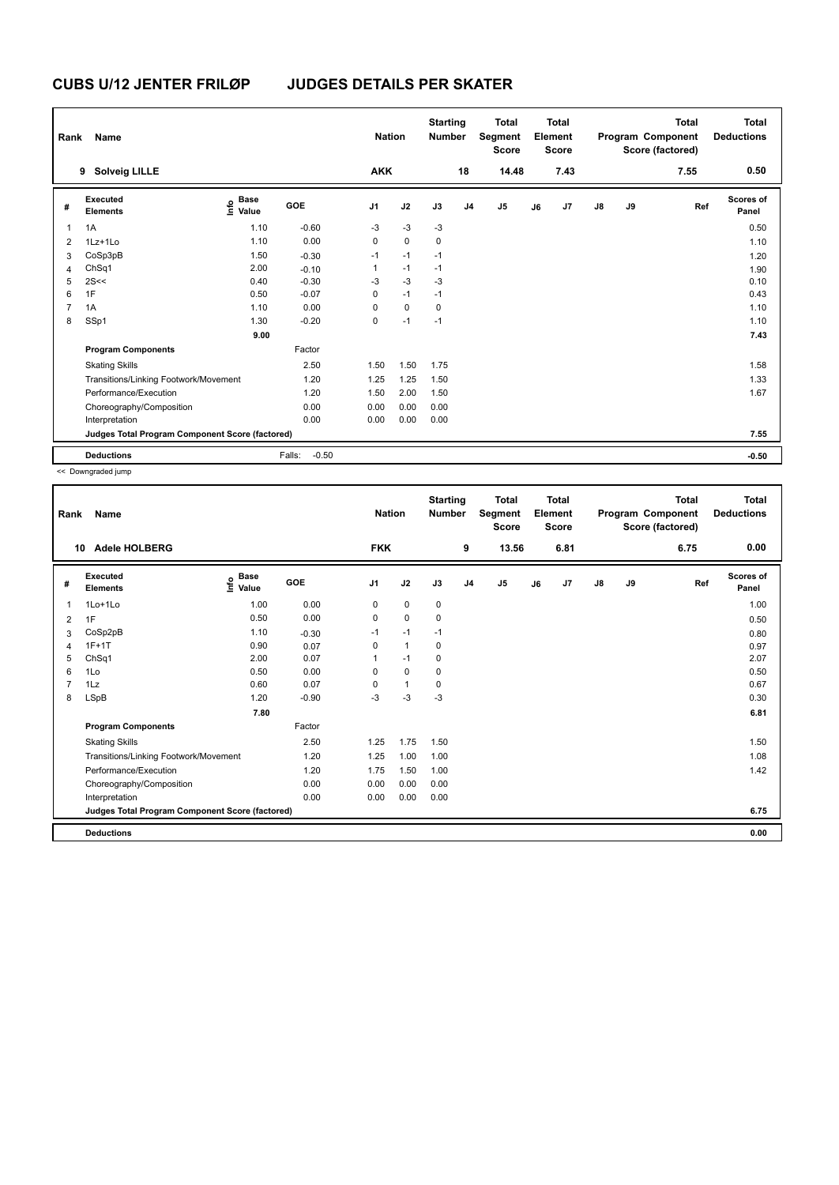| Rank           | <b>Name</b>                                     |                           |                   | <b>Nation</b>  |             | <b>Starting</b><br><b>Number</b> |                | <b>Total</b><br>Segment<br><b>Score</b> |    | <b>Total</b><br>Element<br><b>Score</b> |               |    | <b>Total</b><br>Program Component<br>Score (factored) | <b>Total</b><br><b>Deductions</b> |
|----------------|-------------------------------------------------|---------------------------|-------------------|----------------|-------------|----------------------------------|----------------|-----------------------------------------|----|-----------------------------------------|---------------|----|-------------------------------------------------------|-----------------------------------|
|                | <b>Solveig LILLE</b><br>9                       |                           |                   | <b>AKK</b>     |             |                                  | 18             | 14.48                                   |    | 7.43                                    |               |    | 7.55                                                  | 0.50                              |
| #              | Executed<br><b>Elements</b>                     | Base<br>e Base<br>E Value | <b>GOE</b>        | J <sub>1</sub> | J2          | J3                               | J <sub>4</sub> | J <sub>5</sub>                          | J6 | J7                                      | $\mathsf{J}8$ | J9 | Ref                                                   | Scores of<br>Panel                |
| 1              | 1A                                              | 1.10                      | $-0.60$           | $-3$           | $-3$        | $-3$                             |                |                                         |    |                                         |               |    |                                                       | 0.50                              |
| 2              | 1Lz+1Lo                                         | 1.10                      | 0.00              | 0              | $\mathbf 0$ | 0                                |                |                                         |    |                                         |               |    |                                                       | 1.10                              |
| 3              | CoSp3pB                                         | 1.50                      | $-0.30$           | $-1$           | $-1$        | $-1$                             |                |                                         |    |                                         |               |    |                                                       | 1.20                              |
| 4              | ChSq1                                           | 2.00                      | $-0.10$           | $\mathbf{1}$   | $-1$        | $-1$                             |                |                                         |    |                                         |               |    |                                                       | 1.90                              |
| 5              | 2S<<                                            | 0.40                      | $-0.30$           | $-3$           | $-3$        | $-3$                             |                |                                         |    |                                         |               |    |                                                       | 0.10                              |
| 6              | 1F                                              | 0.50                      | $-0.07$           | 0              | $-1$        | $-1$                             |                |                                         |    |                                         |               |    |                                                       | 0.43                              |
| $\overline{7}$ | 1A                                              | 1.10                      | 0.00              | $\Omega$       | $\mathbf 0$ | 0                                |                |                                         |    |                                         |               |    |                                                       | 1.10                              |
| 8              | SSp1                                            | 1.30                      | $-0.20$           | 0              | $-1$        | $-1$                             |                |                                         |    |                                         |               |    |                                                       | 1.10                              |
|                |                                                 | 9.00                      |                   |                |             |                                  |                |                                         |    |                                         |               |    |                                                       | 7.43                              |
|                | <b>Program Components</b>                       |                           | Factor            |                |             |                                  |                |                                         |    |                                         |               |    |                                                       |                                   |
|                | <b>Skating Skills</b>                           |                           | 2.50              | 1.50           | 1.50        | 1.75                             |                |                                         |    |                                         |               |    |                                                       | 1.58                              |
|                | Transitions/Linking Footwork/Movement           |                           | 1.20              | 1.25           | 1.25        | 1.50                             |                |                                         |    |                                         |               |    |                                                       | 1.33                              |
|                | Performance/Execution                           |                           | 1.20              | 1.50           | 2.00        | 1.50                             |                |                                         |    |                                         |               |    |                                                       | 1.67                              |
|                | Choreography/Composition                        |                           | 0.00              | 0.00           | 0.00        | 0.00                             |                |                                         |    |                                         |               |    |                                                       |                                   |
|                | Interpretation                                  |                           | 0.00              | 0.00           | 0.00        | 0.00                             |                |                                         |    |                                         |               |    |                                                       |                                   |
|                | Judges Total Program Component Score (factored) |                           |                   |                |             |                                  |                |                                         |    |                                         |               |    |                                                       | 7.55                              |
|                | <b>Deductions</b>                               |                           | $-0.50$<br>Falls: |                |             |                                  |                |                                         |    |                                         |               |    |                                                       | $-0.50$                           |

<< Downgraded jump

| Rank           | Name                                            |                                  |         | <b>Nation</b>  |              | <b>Starting</b><br><b>Number</b> |                | <b>Total</b><br>Segment<br><b>Score</b> |    | Total<br>Element<br><b>Score</b> |               |    | <b>Total</b><br>Program Component<br>Score (factored) | <b>Total</b><br><b>Deductions</b> |
|----------------|-------------------------------------------------|----------------------------------|---------|----------------|--------------|----------------------------------|----------------|-----------------------------------------|----|----------------------------------|---------------|----|-------------------------------------------------------|-----------------------------------|
| 10             | <b>Adele HOLBERG</b>                            |                                  |         | <b>FKK</b>     |              |                                  | 9              | 13.56                                   |    | 6.81                             |               |    | 6.75                                                  | 0.00                              |
| #              | Executed<br><b>Elements</b>                     | <b>Base</b><br>e Base<br>⊆ Value | GOE     | J <sub>1</sub> | J2           | J3                               | J <sub>4</sub> | J <sub>5</sub>                          | J6 | J7                               | $\mathsf{J}8$ | J9 | Ref                                                   | <b>Scores of</b><br>Panel         |
| 1              | 1Lo+1Lo                                         | 1.00                             | 0.00    | 0              | 0            | 0                                |                |                                         |    |                                  |               |    |                                                       | 1.00                              |
| 2              | 1F                                              | 0.50                             | 0.00    | 0              | $\mathbf 0$  | 0                                |                |                                         |    |                                  |               |    |                                                       | 0.50                              |
| 3              | CoSp2pB                                         | 1.10                             | $-0.30$ | $-1$           | $-1$         | $-1$                             |                |                                         |    |                                  |               |    |                                                       | 0.80                              |
| 4              | $1F+1T$                                         | 0.90                             | 0.07    | $\Omega$       | $\mathbf{1}$ | 0                                |                |                                         |    |                                  |               |    |                                                       | 0.97                              |
| 5              | ChSq1                                           | 2.00                             | 0.07    |                | $-1$         | 0                                |                |                                         |    |                                  |               |    |                                                       | 2.07                              |
| 6              | 1Lo                                             | 0.50                             | 0.00    | 0              | $\mathbf 0$  | $\mathbf 0$                      |                |                                         |    |                                  |               |    |                                                       | 0.50                              |
| $\overline{7}$ | 1Lz                                             | 0.60                             | 0.07    | 0              | $\mathbf{1}$ | 0                                |                |                                         |    |                                  |               |    |                                                       | 0.67                              |
| 8              | LSpB                                            | 1.20                             | $-0.90$ | -3             | $-3$         | -3                               |                |                                         |    |                                  |               |    |                                                       | 0.30                              |
|                |                                                 | 7.80                             |         |                |              |                                  |                |                                         |    |                                  |               |    |                                                       | 6.81                              |
|                | <b>Program Components</b>                       |                                  | Factor  |                |              |                                  |                |                                         |    |                                  |               |    |                                                       |                                   |
|                | <b>Skating Skills</b>                           |                                  | 2.50    | 1.25           | 1.75         | 1.50                             |                |                                         |    |                                  |               |    |                                                       | 1.50                              |
|                | Transitions/Linking Footwork/Movement           |                                  | 1.20    | 1.25           | 1.00         | 1.00                             |                |                                         |    |                                  |               |    |                                                       | 1.08                              |
|                | Performance/Execution                           |                                  | 1.20    | 1.75           | 1.50         | 1.00                             |                |                                         |    |                                  |               |    |                                                       | 1.42                              |
|                | Choreography/Composition                        |                                  | 0.00    | 0.00           | 0.00         | 0.00                             |                |                                         |    |                                  |               |    |                                                       |                                   |
|                | Interpretation                                  |                                  | 0.00    | 0.00           | 0.00         | 0.00                             |                |                                         |    |                                  |               |    |                                                       |                                   |
|                | Judges Total Program Component Score (factored) |                                  |         |                |              |                                  |                |                                         |    |                                  |               |    |                                                       | 6.75                              |
|                | <b>Deductions</b>                               |                                  |         |                |              |                                  |                |                                         |    |                                  |               |    |                                                       | 0.00                              |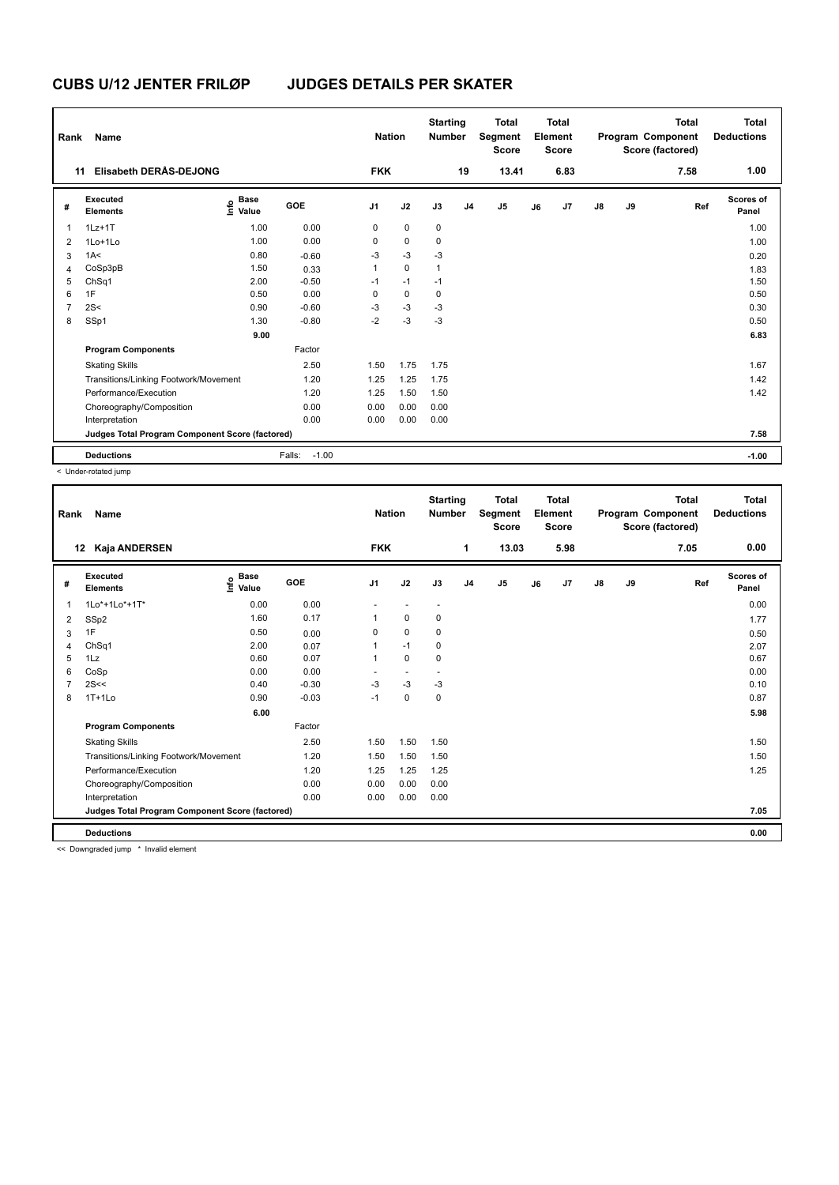| Rank           | Name                                            |                                  |                   | <b>Nation</b>  |             | <b>Starting</b><br><b>Number</b> |                | <b>Total</b><br>Segment<br><b>Score</b> |    | <b>Total</b><br>Element<br><b>Score</b> |               |    | <b>Total</b><br>Program Component<br>Score (factored) | <b>Total</b><br><b>Deductions</b> |
|----------------|-------------------------------------------------|----------------------------------|-------------------|----------------|-------------|----------------------------------|----------------|-----------------------------------------|----|-----------------------------------------|---------------|----|-------------------------------------------------------|-----------------------------------|
| 11             | <b>Elisabeth DERAS-DEJONG</b>                   |                                  |                   | <b>FKK</b>     |             |                                  | 19             | 13.41                                   |    | 6.83                                    |               |    | 7.58                                                  | 1.00                              |
| #              | <b>Executed</b><br><b>Elements</b>              | <b>Base</b><br>o Base<br>E Value | GOE               | J <sub>1</sub> | J2          | J3                               | J <sub>4</sub> | J <sub>5</sub>                          | J6 | J7                                      | $\mathsf{J}8$ | J9 | Ref                                                   | Scores of<br>Panel                |
| $\mathbf{1}$   | $1Lz+1T$                                        | 1.00                             | 0.00              | 0              | $\mathbf 0$ | $\mathbf 0$                      |                |                                         |    |                                         |               |    |                                                       | 1.00                              |
| 2              | 1Lo+1Lo                                         | 1.00                             | 0.00              | 0              | $\mathbf 0$ | 0                                |                |                                         |    |                                         |               |    |                                                       | 1.00                              |
| 3              | 1A<                                             | 0.80                             | $-0.60$           | $-3$           | $-3$        | $-3$                             |                |                                         |    |                                         |               |    |                                                       | 0.20                              |
| 4              | CoSp3pB                                         | 1.50                             | 0.33              | 1              | $\mathbf 0$ | 1                                |                |                                         |    |                                         |               |    |                                                       | 1.83                              |
| 5              | ChSq1                                           | 2.00                             | $-0.50$           | $-1$           | $-1$        | $-1$                             |                |                                         |    |                                         |               |    |                                                       | 1.50                              |
| 6              | 1F                                              | 0.50                             | 0.00              | 0              | $\mathbf 0$ | 0                                |                |                                         |    |                                         |               |    |                                                       | 0.50                              |
| $\overline{7}$ | 2S<                                             | 0.90                             | $-0.60$           | $-3$           | $-3$        | $-3$                             |                |                                         |    |                                         |               |    |                                                       | 0.30                              |
| 8              | SSp1                                            | 1.30                             | $-0.80$           | $-2$           | $-3$        | $-3$                             |                |                                         |    |                                         |               |    |                                                       | 0.50                              |
|                |                                                 | 9.00                             |                   |                |             |                                  |                |                                         |    |                                         |               |    |                                                       | 6.83                              |
|                | <b>Program Components</b>                       |                                  | Factor            |                |             |                                  |                |                                         |    |                                         |               |    |                                                       |                                   |
|                | <b>Skating Skills</b>                           |                                  | 2.50              | 1.50           | 1.75        | 1.75                             |                |                                         |    |                                         |               |    |                                                       | 1.67                              |
|                | Transitions/Linking Footwork/Movement           |                                  | 1.20              | 1.25           | 1.25        | 1.75                             |                |                                         |    |                                         |               |    |                                                       | 1.42                              |
|                | Performance/Execution                           |                                  | 1.20              | 1.25           | 1.50        | 1.50                             |                |                                         |    |                                         |               |    |                                                       | 1.42                              |
|                | Choreography/Composition                        |                                  | 0.00              | 0.00           | 0.00        | 0.00                             |                |                                         |    |                                         |               |    |                                                       |                                   |
|                | Interpretation                                  |                                  | 0.00              | 0.00           | 0.00        | 0.00                             |                |                                         |    |                                         |               |    |                                                       |                                   |
|                | Judges Total Program Component Score (factored) |                                  |                   |                |             |                                  |                |                                         |    |                                         |               |    |                                                       | 7.58                              |
|                | <b>Deductions</b>                               |                                  | $-1.00$<br>Falls: |                |             |                                  |                |                                         |    |                                         |               |    |                                                       | $-1.00$                           |

< Under-rotated jump

| Rank           | Name                                            |                            |         | <b>Nation</b>  |             | <b>Starting</b><br><b>Number</b> |                | <b>Total</b><br>Segment<br><b>Score</b> |    | Total<br>Element<br><b>Score</b> |               |    | <b>Total</b><br>Program Component<br>Score (factored) | <b>Total</b><br><b>Deductions</b> |
|----------------|-------------------------------------------------|----------------------------|---------|----------------|-------------|----------------------------------|----------------|-----------------------------------------|----|----------------------------------|---------------|----|-------------------------------------------------------|-----------------------------------|
|                | Kaja ANDERSEN<br>12                             |                            |         | <b>FKK</b>     |             |                                  | 1              | 13.03                                   |    | 5.98                             |               |    | 7.05                                                  | 0.00                              |
| #              | Executed<br><b>Elements</b>                     | <b>Base</b><br>۴٥<br>Value | GOE     | J <sub>1</sub> | J2          | J3                               | J <sub>4</sub> | J <sub>5</sub>                          | J6 | J7                               | $\mathsf{J}8$ | J9 | Ref                                                   | Scores of<br>Panel                |
| 1              | 1Lo*+1Lo*+1T*                                   | 0.00                       | 0.00    | ٠              | $\sim$      | $\overline{\phantom{a}}$         |                |                                         |    |                                  |               |    |                                                       | 0.00                              |
| $\overline{2}$ | SSp2                                            | 1.60                       | 0.17    |                | $\mathbf 0$ | 0                                |                |                                         |    |                                  |               |    |                                                       | 1.77                              |
| 3              | 1F                                              | 0.50                       | 0.00    | $\Omega$       | $\mathbf 0$ | 0                                |                |                                         |    |                                  |               |    |                                                       | 0.50                              |
| 4              | ChSq1                                           | 2.00                       | 0.07    |                | $-1$        | 0                                |                |                                         |    |                                  |               |    |                                                       | 2.07                              |
| 5              | 1Lz                                             | 0.60                       | 0.07    | 1              | $\mathbf 0$ | $\mathbf 0$                      |                |                                         |    |                                  |               |    |                                                       | 0.67                              |
| 6              | CoSp                                            | 0.00                       | 0.00    |                |             |                                  |                |                                         |    |                                  |               |    |                                                       | 0.00                              |
|                | 2S<<                                            | 0.40                       | $-0.30$ | $-3$           | $-3$        | $-3$                             |                |                                         |    |                                  |               |    |                                                       | 0.10                              |
| 8              | $1T+1L0$                                        | 0.90                       | $-0.03$ | $-1$           | $\mathbf 0$ | $\mathbf 0$                      |                |                                         |    |                                  |               |    |                                                       | 0.87                              |
|                |                                                 | 6.00                       |         |                |             |                                  |                |                                         |    |                                  |               |    |                                                       | 5.98                              |
|                | <b>Program Components</b>                       |                            | Factor  |                |             |                                  |                |                                         |    |                                  |               |    |                                                       |                                   |
|                | <b>Skating Skills</b>                           |                            | 2.50    | 1.50           | 1.50        | 1.50                             |                |                                         |    |                                  |               |    |                                                       | 1.50                              |
|                | Transitions/Linking Footwork/Movement           |                            | 1.20    | 1.50           | 1.50        | 1.50                             |                |                                         |    |                                  |               |    |                                                       | 1.50                              |
|                | Performance/Execution                           |                            | 1.20    | 1.25           | 1.25        | 1.25                             |                |                                         |    |                                  |               |    |                                                       | 1.25                              |
|                | Choreography/Composition                        |                            | 0.00    | 0.00           | 0.00        | 0.00                             |                |                                         |    |                                  |               |    |                                                       |                                   |
|                | Interpretation                                  |                            | 0.00    | 0.00           | 0.00        | 0.00                             |                |                                         |    |                                  |               |    |                                                       |                                   |
|                | Judges Total Program Component Score (factored) |                            |         |                |             |                                  |                |                                         |    |                                  |               |    |                                                       | 7.05                              |
|                | <b>Deductions</b>                               |                            |         |                |             |                                  |                |                                         |    |                                  |               |    |                                                       | 0.00                              |

<< Downgraded jump \* Invalid element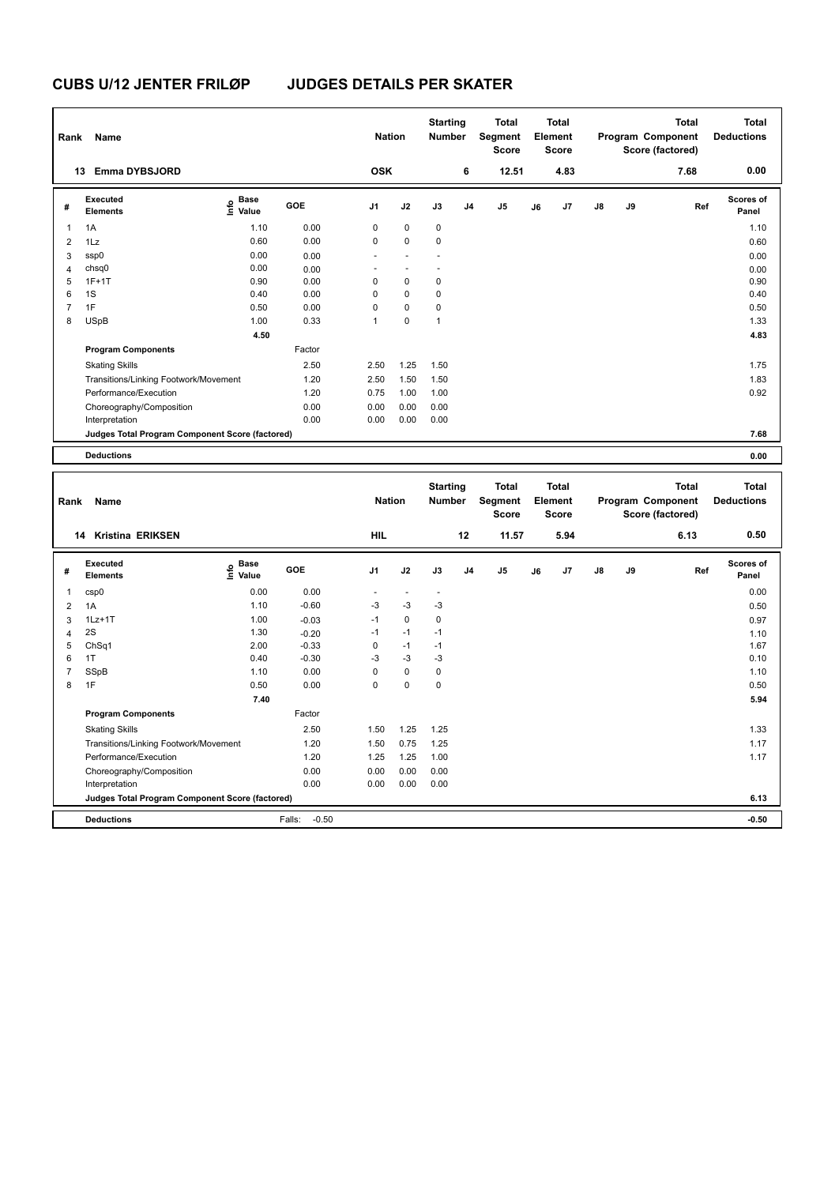**Program Components** 

### **CUBS U/12 JENTER FRILØP JUDGES DETAILS PER SKATER**

| Rank           | Name                                            |                             |         | <b>Nation</b>            |                          | <b>Starting</b><br><b>Number</b> |                | <b>Total</b><br><b>Segment</b><br><b>Score</b> |    | <b>Total</b><br>Element<br><b>Score</b> |    |    | <b>Total</b><br>Program Component<br>Score (factored) | <b>Total</b><br><b>Deductions</b> |
|----------------|-------------------------------------------------|-----------------------------|---------|--------------------------|--------------------------|----------------------------------|----------------|------------------------------------------------|----|-----------------------------------------|----|----|-------------------------------------------------------|-----------------------------------|
|                | 13 Emma DYBSJORD                                |                             |         | <b>OSK</b>               |                          |                                  | 6              | 12.51                                          |    | 4.83                                    |    |    | 7.68                                                  | 0.00                              |
| #              | Executed<br><b>Elements</b>                     | e Base<br>E Value<br>Value  | GOE     | J <sub>1</sub>           | J2                       | J3                               | J <sub>4</sub> | J <sub>5</sub>                                 | J6 | J7                                      | J8 | J9 | Ref                                                   | Scores of<br>Panel                |
| 1              | 1A                                              | 1.10                        | 0.00    | 0                        | 0                        | 0                                |                |                                                |    |                                         |    |    |                                                       | 1.10                              |
| $\overline{2}$ | 1Lz                                             | 0.60                        | 0.00    | $\mathbf 0$              | 0                        | 0                                |                |                                                |    |                                         |    |    |                                                       | 0.60                              |
| 3              | ssp0                                            | 0.00                        | 0.00    | ÷.                       | $\sim$                   |                                  |                |                                                |    |                                         |    |    |                                                       | 0.00                              |
| 4              | chsq0                                           | 0.00                        | 0.00    | $\overline{\phantom{a}}$ | $\overline{\phantom{a}}$ | $\overline{\phantom{a}}$         |                |                                                |    |                                         |    |    |                                                       | 0.00                              |
| 5              | $1F+1T$                                         | 0.90                        | 0.00    | $\mathbf 0$              | $\mathbf 0$              | 0                                |                |                                                |    |                                         |    |    |                                                       | 0.90                              |
| 6              | 1S                                              | 0.40                        | 0.00    | $\mathbf 0$              | 0                        | 0                                |                |                                                |    |                                         |    |    |                                                       | 0.40                              |
| $\overline{7}$ | 1F                                              | 0.50                        | 0.00    | $\Omega$                 | $\mathbf 0$              | 0                                |                |                                                |    |                                         |    |    |                                                       | 0.50                              |
| 8              | <b>USpB</b>                                     | 1.00                        | 0.33    | $\mathbf{1}$             | 0                        | $\mathbf{1}$                     |                |                                                |    |                                         |    |    |                                                       | 1.33                              |
|                |                                                 | 4.50                        |         |                          |                          |                                  |                |                                                |    |                                         |    |    |                                                       | 4.83                              |
|                | <b>Program Components</b>                       |                             | Factor  |                          |                          |                                  |                |                                                |    |                                         |    |    |                                                       |                                   |
|                | <b>Skating Skills</b>                           |                             | 2.50    | 2.50                     | 1.25                     | 1.50                             |                |                                                |    |                                         |    |    |                                                       | 1.75                              |
|                | Transitions/Linking Footwork/Movement           |                             | 1.20    | 2.50                     | 1.50                     | 1.50                             |                |                                                |    |                                         |    |    |                                                       | 1.83                              |
|                | Performance/Execution                           |                             | 1.20    | 0.75                     | 1.00                     | 1.00                             |                |                                                |    |                                         |    |    |                                                       | 0.92                              |
|                | Choreography/Composition                        |                             | 0.00    | 0.00                     | 0.00                     | 0.00                             |                |                                                |    |                                         |    |    |                                                       |                                   |
|                | Interpretation                                  |                             | 0.00    | 0.00                     | 0.00                     | 0.00                             |                |                                                |    |                                         |    |    |                                                       |                                   |
|                | Judges Total Program Component Score (factored) |                             |         |                          |                          |                                  |                |                                                |    |                                         |    |    |                                                       | 7.68                              |
|                | <b>Deductions</b>                               |                             |         |                          |                          |                                  |                |                                                |    |                                         |    |    |                                                       | 0.00                              |
| Rank           | Name                                            |                             |         | <b>Nation</b>            |                          | <b>Starting</b><br>Number        |                | <b>Total</b><br>Segment<br><b>Score</b>        |    | <b>Total</b><br>Element<br><b>Score</b> |    |    | <b>Total</b><br>Program Component<br>Score (factored) | <b>Total</b><br><b>Deductions</b> |
|                | 14 Kristina ERIKSEN                             |                             |         | <b>HIL</b>               |                          |                                  | 12             | 11.57                                          |    | 5.94                                    |    |    | 6.13                                                  | 0.50                              |
| #              | Executed<br><b>Elements</b>                     | $\frac{e}{E}$ Base<br>Malue | GOE     | J1                       | J2                       | J3                               | J4             | J5                                             | J6 | J7                                      | J8 | J9 | Ref                                                   | Scores of<br>Panel                |
| 1              | csp0                                            | 0.00                        | 0.00    | $\sim$                   | $\overline{\phantom{a}}$ | $\ddot{\phantom{1}}$             |                |                                                |    |                                         |    |    |                                                       | 0.00                              |
| $\overline{2}$ | 1A                                              | 1.10                        | $-0.60$ | $-3$                     | $-3$                     | $-3$                             |                |                                                |    |                                         |    |    |                                                       | 0.50                              |
| 3              | $1Lz+1T$                                        | 1.00                        | $-0.03$ | $-1$                     | 0                        | 0                                |                |                                                |    |                                         |    |    |                                                       | 0.97                              |
| 4              | 2S                                              | 1.30                        | $-0.20$ | $-1$                     | $-1$                     | $-1$                             |                |                                                |    |                                         |    |    |                                                       | 1.10                              |
| 5              | ChSq1                                           | 2.00                        | $-0.33$ | $\mathbf 0$              | $-1$                     | $-1$                             |                |                                                |    |                                         |    |    |                                                       | 1.67                              |
| 6              | 1T                                              | 0.40                        | $-0.30$ | $-3$                     | $-3$                     | $-3$                             |                |                                                |    |                                         |    |    |                                                       | 0.10                              |
| $\overline{7}$ | SSpB                                            | 1.10                        | 0.00    | 0                        | 0                        | 0                                |                |                                                |    |                                         |    |    |                                                       | 1.10                              |
| 8              | 1F                                              | 0.50                        | 0.00    | $\Omega$                 | $\mathbf 0$              | $\mathbf 0$                      |                |                                                |    |                                         |    |    |                                                       | 0.50                              |

Skating Skills 1.50 1.25 1.25 2.50 1.33

Transitions/Linking Footwork/Movement 1.20 1.50 0.75 1.25<br>
Performance/Execution 1.20 1.25 1.25 1.00 1.17 Performance/Execution 1.20 1.25 1.25 1.00 1.17

**Deductions** Falls: -0.50 **-0.50 Judges Total Program Component Score (factored) 6.13**

Factor

Choreography/Composition 0.00 0.00 0.00 0.00 0.00 Interpretation 0.00 0.00 0.00 0.00

 **7.40 5.94**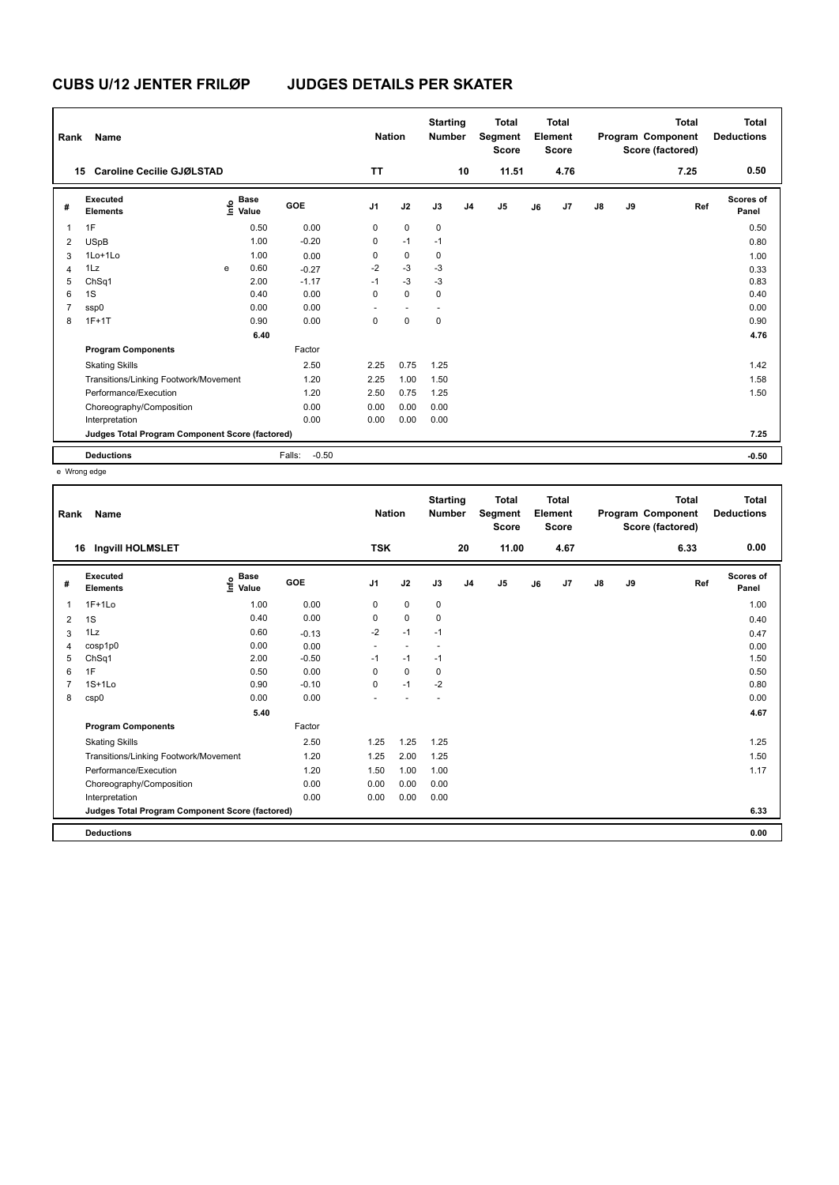| Rank | Name                                            |   |                                  |                   | <b>Nation</b> |                          | <b>Starting</b><br><b>Number</b> |                | <b>Total</b><br>Segment<br><b>Score</b> |    | <b>Total</b><br>Element<br>Score |               |    | <b>Total</b><br>Program Component<br>Score (factored) | Total<br><b>Deductions</b> |
|------|-------------------------------------------------|---|----------------------------------|-------------------|---------------|--------------------------|----------------------------------|----------------|-----------------------------------------|----|----------------------------------|---------------|----|-------------------------------------------------------|----------------------------|
|      | Caroline Cecilie GJØLSTAD<br>15                 |   |                                  |                   | <b>TT</b>     |                          |                                  | 10             | 11.51                                   |    | 4.76                             |               |    | 7.25                                                  | 0.50                       |
| #    | Executed<br><b>Elements</b>                     |   | <b>Base</b><br>o Base<br>E Value | <b>GOE</b>        | J1            | J2                       | J3                               | J <sub>4</sub> | J <sub>5</sub>                          | J6 | J7                               | $\mathsf{J}8$ | J9 | Ref                                                   | Scores of<br>Panel         |
| 1    | 1F                                              |   | 0.50                             | 0.00              | 0             | $\mathbf 0$              | $\mathbf 0$                      |                |                                         |    |                                  |               |    |                                                       | 0.50                       |
| 2    | <b>USpB</b>                                     |   | 1.00                             | $-0.20$           | 0             | $-1$                     | $-1$                             |                |                                         |    |                                  |               |    |                                                       | 0.80                       |
| 3    | 1Lo+1Lo                                         |   | 1.00                             | 0.00              | 0             | $\pmb{0}$                | 0                                |                |                                         |    |                                  |               |    |                                                       | 1.00                       |
| 4    | 1Lz                                             | e | 0.60                             | $-0.27$           | $-2$          | $-3$                     | $-3$                             |                |                                         |    |                                  |               |    |                                                       | 0.33                       |
| 5    | ChSq1                                           |   | 2.00                             | $-1.17$           | $-1$          | $-3$                     | $-3$                             |                |                                         |    |                                  |               |    |                                                       | 0.83                       |
| 6    | 1S                                              |   | 0.40                             | 0.00              | 0             | $\mathbf 0$              | 0                                |                |                                         |    |                                  |               |    |                                                       | 0.40                       |
| 7    | ssp0                                            |   | 0.00                             | 0.00              |               | $\overline{\phantom{a}}$ |                                  |                |                                         |    |                                  |               |    |                                                       | 0.00                       |
| 8    | $1F+1T$                                         |   | 0.90                             | 0.00              | 0             | 0                        | 0                                |                |                                         |    |                                  |               |    |                                                       | 0.90                       |
|      |                                                 |   | 6.40                             |                   |               |                          |                                  |                |                                         |    |                                  |               |    |                                                       | 4.76                       |
|      | <b>Program Components</b>                       |   |                                  | Factor            |               |                          |                                  |                |                                         |    |                                  |               |    |                                                       |                            |
|      | <b>Skating Skills</b>                           |   |                                  | 2.50              | 2.25          | 0.75                     | 1.25                             |                |                                         |    |                                  |               |    |                                                       | 1.42                       |
|      | Transitions/Linking Footwork/Movement           |   |                                  | 1.20              | 2.25          | 1.00                     | 1.50                             |                |                                         |    |                                  |               |    |                                                       | 1.58                       |
|      | Performance/Execution                           |   |                                  | 1.20              | 2.50          | 0.75                     | 1.25                             |                |                                         |    |                                  |               |    |                                                       | 1.50                       |
|      | Choreography/Composition                        |   |                                  | 0.00              | 0.00          | 0.00                     | 0.00                             |                |                                         |    |                                  |               |    |                                                       |                            |
|      | Interpretation                                  |   |                                  | 0.00              | 0.00          | 0.00                     | 0.00                             |                |                                         |    |                                  |               |    |                                                       |                            |
|      | Judges Total Program Component Score (factored) |   |                                  |                   |               |                          |                                  |                |                                         |    |                                  |               |    |                                                       | 7.25                       |
|      | <b>Deductions</b>                               |   |                                  | $-0.50$<br>Falls: |               |                          |                                  |                |                                         |    |                                  |               |    |                                                       | $-0.50$                    |

e Wrong edge

| Rank    | Name                                            |                                             |            | <b>Nation</b>  |                | <b>Starting</b><br><b>Number</b> |                | <b>Total</b><br>Segment<br><b>Score</b> |    | <b>Total</b><br>Element<br><b>Score</b> |               |    | <b>Total</b><br>Program Component<br>Score (factored) | <b>Total</b><br><b>Deductions</b> |
|---------|-------------------------------------------------|---------------------------------------------|------------|----------------|----------------|----------------------------------|----------------|-----------------------------------------|----|-----------------------------------------|---------------|----|-------------------------------------------------------|-----------------------------------|
|         | 16 Ingvill HOLMSLET                             |                                             |            | <b>TSK</b>     |                |                                  | 20             | 11.00                                   |    | 4.67                                    |               |    | 6.33                                                  | 0.00                              |
| #       | Executed<br><b>Elements</b>                     | <b>Base</b><br>e <sup>Base</sup><br>⊆ Value | <b>GOE</b> | J <sub>1</sub> | J2             | J3                               | J <sub>4</sub> | J5                                      | J6 | J7                                      | $\mathsf{J}8$ | J9 | Ref                                                   | Scores of<br>Panel                |
| 1       | $1F+1Lo$                                        | 1.00                                        | 0.00       | 0              | $\mathbf 0$    | 0                                |                |                                         |    |                                         |               |    |                                                       | 1.00                              |
| 1S<br>2 |                                                 | 0.40                                        | 0.00       | 0              | 0              | 0                                |                |                                         |    |                                         |               |    |                                                       | 0.40                              |
| 3       | 1Lz                                             | 0.60                                        | $-0.13$    | $-2$           | $-1$           | $-1$                             |                |                                         |    |                                         |               |    |                                                       | 0.47                              |
| 4       | cosp1p0                                         | 0.00                                        | 0.00       | ٠              | $\overline{a}$ |                                  |                |                                         |    |                                         |               |    |                                                       | 0.00                              |
| 5       | ChSq1                                           | 2.00                                        | $-0.50$    | $-1$           | $-1$           | $-1$                             |                |                                         |    |                                         |               |    |                                                       | 1.50                              |
| 1F<br>6 |                                                 | 0.50                                        | 0.00       | 0              | $\mathbf 0$    | 0                                |                |                                         |    |                                         |               |    |                                                       | 0.50                              |
| 7       | $1S+1L0$                                        | 0.90                                        | $-0.10$    | $\Omega$       | $-1$           | $-2$                             |                |                                         |    |                                         |               |    |                                                       | 0.80                              |
| 8       | csp0                                            | 0.00                                        | 0.00       |                |                |                                  |                |                                         |    |                                         |               |    |                                                       | 0.00                              |
|         |                                                 | 5.40                                        |            |                |                |                                  |                |                                         |    |                                         |               |    |                                                       | 4.67                              |
|         | <b>Program Components</b>                       |                                             | Factor     |                |                |                                  |                |                                         |    |                                         |               |    |                                                       |                                   |
|         | <b>Skating Skills</b>                           |                                             | 2.50       | 1.25           | 1.25           | 1.25                             |                |                                         |    |                                         |               |    |                                                       | 1.25                              |
|         | Transitions/Linking Footwork/Movement           |                                             | 1.20       | 1.25           | 2.00           | 1.25                             |                |                                         |    |                                         |               |    |                                                       | 1.50                              |
|         | Performance/Execution                           |                                             | 1.20       | 1.50           | 1.00           | 1.00                             |                |                                         |    |                                         |               |    |                                                       | 1.17                              |
|         | Choreography/Composition                        |                                             | 0.00       | 0.00           | 0.00           | 0.00                             |                |                                         |    |                                         |               |    |                                                       |                                   |
|         | Interpretation                                  |                                             | 0.00       | 0.00           | 0.00           | 0.00                             |                |                                         |    |                                         |               |    |                                                       |                                   |
|         | Judges Total Program Component Score (factored) |                                             |            |                |                |                                  |                |                                         |    |                                         |               |    |                                                       | 6.33                              |
|         | <b>Deductions</b>                               |                                             |            |                |                |                                  |                |                                         |    |                                         |               |    |                                                       | 0.00                              |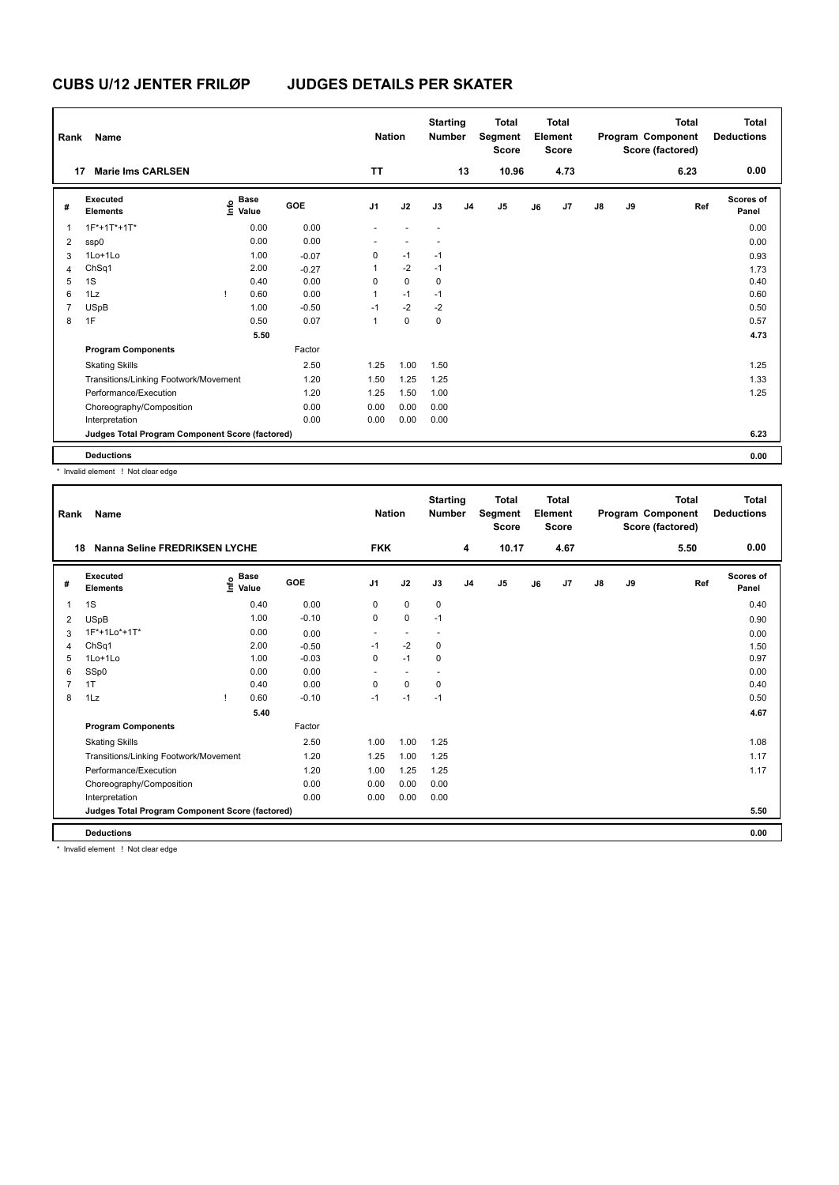| Rank | <b>Name</b>                                     |   |                                  |         | <b>Nation</b>  |             | <b>Starting</b><br><b>Number</b> |                | <b>Total</b><br>Segment<br><b>Score</b> |    | Total<br>Element<br><b>Score</b> |               |    | <b>Total</b><br>Program Component<br>Score (factored) | <b>Total</b><br><b>Deductions</b> |
|------|-------------------------------------------------|---|----------------------------------|---------|----------------|-------------|----------------------------------|----------------|-----------------------------------------|----|----------------------------------|---------------|----|-------------------------------------------------------|-----------------------------------|
| 17   | <b>Marie Ims CARLSEN</b>                        |   |                                  |         | <b>TT</b>      |             |                                  | 13             | 10.96                                   |    | 4.73                             |               |    | 6.23                                                  | 0.00                              |
| #    | Executed<br><b>Elements</b>                     |   | <b>Base</b><br>e Base<br>E Value | GOE     | J <sub>1</sub> | J2          | J3                               | J <sub>4</sub> | J <sub>5</sub>                          | J6 | J7                               | $\mathsf{J}8$ | J9 | Ref                                                   | Scores of<br>Panel                |
| 1    | 1F*+1T*+1T*                                     |   | 0.00                             | 0.00    |                |             |                                  |                |                                         |    |                                  |               |    |                                                       | 0.00                              |
| 2    | ssp0                                            |   | 0.00                             | 0.00    |                |             |                                  |                |                                         |    |                                  |               |    |                                                       | 0.00                              |
| 3    | 1Lo+1Lo                                         |   | 1.00                             | $-0.07$ | 0              | $-1$        | $-1$                             |                |                                         |    |                                  |               |    |                                                       | 0.93                              |
| 4    | ChSq1                                           |   | 2.00                             | $-0.27$ | 1              | $-2$        | $-1$                             |                |                                         |    |                                  |               |    |                                                       | 1.73                              |
| 5    | 1S                                              |   | 0.40                             | 0.00    | 0              | $\mathbf 0$ | 0                                |                |                                         |    |                                  |               |    |                                                       | 0.40                              |
| 6    | 1Lz                                             | т | 0.60                             | 0.00    | 1              | $-1$        | $-1$                             |                |                                         |    |                                  |               |    |                                                       | 0.60                              |
|      | <b>USpB</b>                                     |   | 1.00                             | $-0.50$ | $-1$           | $-2$        | $-2$                             |                |                                         |    |                                  |               |    |                                                       | 0.50                              |
| 8    | 1F                                              |   | 0.50                             | 0.07    | 1              | $\mathbf 0$ | 0                                |                |                                         |    |                                  |               |    |                                                       | 0.57                              |
|      |                                                 |   | 5.50                             |         |                |             |                                  |                |                                         |    |                                  |               |    |                                                       | 4.73                              |
|      | <b>Program Components</b>                       |   |                                  | Factor  |                |             |                                  |                |                                         |    |                                  |               |    |                                                       |                                   |
|      | <b>Skating Skills</b>                           |   |                                  | 2.50    | 1.25           | 1.00        | 1.50                             |                |                                         |    |                                  |               |    |                                                       | 1.25                              |
|      | Transitions/Linking Footwork/Movement           |   |                                  | 1.20    | 1.50           | 1.25        | 1.25                             |                |                                         |    |                                  |               |    |                                                       | 1.33                              |
|      | Performance/Execution                           |   |                                  | 1.20    | 1.25           | 1.50        | 1.00                             |                |                                         |    |                                  |               |    |                                                       | 1.25                              |
|      | Choreography/Composition                        |   |                                  | 0.00    | 0.00           | 0.00        | 0.00                             |                |                                         |    |                                  |               |    |                                                       |                                   |
|      | Interpretation                                  |   |                                  | 0.00    | 0.00           | 0.00        | 0.00                             |                |                                         |    |                                  |               |    |                                                       |                                   |
|      | Judges Total Program Component Score (factored) |   |                                  |         |                |             |                                  |                |                                         |    |                                  |               |    |                                                       | 6.23                              |
|      | <b>Deductions</b>                               |   |                                  |         |                |             |                                  |                |                                         |    |                                  |               |    |                                                       | 0.00                              |

\* Invalid element ! Not clear edge

| Rank | Name                                            |      |                      |            | <b>Nation</b>            |                | <b>Starting</b><br><b>Number</b> |                | Total<br>Segment<br><b>Score</b> |    | Total<br>Element<br><b>Score</b> |               |    | Total<br>Program Component<br>Score (factored) | Total<br><b>Deductions</b> |
|------|-------------------------------------------------|------|----------------------|------------|--------------------------|----------------|----------------------------------|----------------|----------------------------------|----|----------------------------------|---------------|----|------------------------------------------------|----------------------------|
|      | Nanna Seline FREDRIKSEN LYCHE<br>18             |      |                      |            | <b>FKK</b>               |                |                                  | 4              | 10.17                            |    | 4.67                             |               |    | 5.50                                           | 0.00                       |
| #    | Executed<br><b>Elements</b>                     | ١nfo | <b>Base</b><br>Value | <b>GOE</b> | J <sub>1</sub>           | J2             | J3                               | J <sub>4</sub> | J <sub>5</sub>                   | J6 | J7                               | $\mathsf{J}8$ | J9 | Ref                                            | Scores of<br>Panel         |
|      | 1S                                              |      | 0.40                 | 0.00       | $\mathbf 0$              | $\mathbf 0$    | $\mathbf 0$                      |                |                                  |    |                                  |               |    |                                                | 0.40                       |
| 2    | <b>USpB</b>                                     |      | 1.00                 | $-0.10$    | $\mathbf 0$              | $\mathbf 0$    | $-1$                             |                |                                  |    |                                  |               |    |                                                | 0.90                       |
| 3    | 1F*+1Lo*+1T*                                    |      | 0.00                 | 0.00       | $\overline{\phantom{a}}$ | $\overline{a}$ | $\overline{\phantom{a}}$         |                |                                  |    |                                  |               |    |                                                | 0.00                       |
| 4    | ChSq1                                           |      | 2.00                 | $-0.50$    | $-1$                     | $-2$           | 0                                |                |                                  |    |                                  |               |    |                                                | 1.50                       |
| 5    | 1Lo+1Lo                                         |      | 1.00                 | $-0.03$    | $\mathbf 0$              | $-1$           | 0                                |                |                                  |    |                                  |               |    |                                                | 0.97                       |
| 6    | SSp0                                            |      | 0.00                 | 0.00       | ٠                        | $\sim$         |                                  |                |                                  |    |                                  |               |    |                                                | 0.00                       |
| 7    | 1T                                              |      | 0.40                 | 0.00       | 0                        | $\mathbf 0$    | 0                                |                |                                  |    |                                  |               |    |                                                | 0.40                       |
| 8    | 1Lz                                             |      | 0.60                 | $-0.10$    | $-1$                     | $-1$           | $-1$                             |                |                                  |    |                                  |               |    |                                                | 0.50                       |
|      |                                                 |      | 5.40                 |            |                          |                |                                  |                |                                  |    |                                  |               |    |                                                | 4.67                       |
|      | <b>Program Components</b>                       |      |                      | Factor     |                          |                |                                  |                |                                  |    |                                  |               |    |                                                |                            |
|      | <b>Skating Skills</b>                           |      |                      | 2.50       | 1.00                     | 1.00           | 1.25                             |                |                                  |    |                                  |               |    |                                                | 1.08                       |
|      | Transitions/Linking Footwork/Movement           |      |                      | 1.20       | 1.25                     | 1.00           | 1.25                             |                |                                  |    |                                  |               |    |                                                | 1.17                       |
|      | Performance/Execution                           |      |                      | 1.20       | 1.00                     | 1.25           | 1.25                             |                |                                  |    |                                  |               |    |                                                | 1.17                       |
|      | Choreography/Composition                        |      |                      | 0.00       | 0.00                     | 0.00           | 0.00                             |                |                                  |    |                                  |               |    |                                                |                            |
|      | Interpretation                                  |      |                      | 0.00       | 0.00                     | 0.00           | 0.00                             |                |                                  |    |                                  |               |    |                                                |                            |
|      | Judges Total Program Component Score (factored) |      |                      |            |                          |                |                                  |                |                                  |    |                                  |               |    |                                                | 5.50                       |
|      | <b>Deductions</b>                               |      |                      |            |                          |                |                                  |                |                                  |    |                                  |               |    |                                                | 0.00                       |

\* Invalid element ! Not clear edge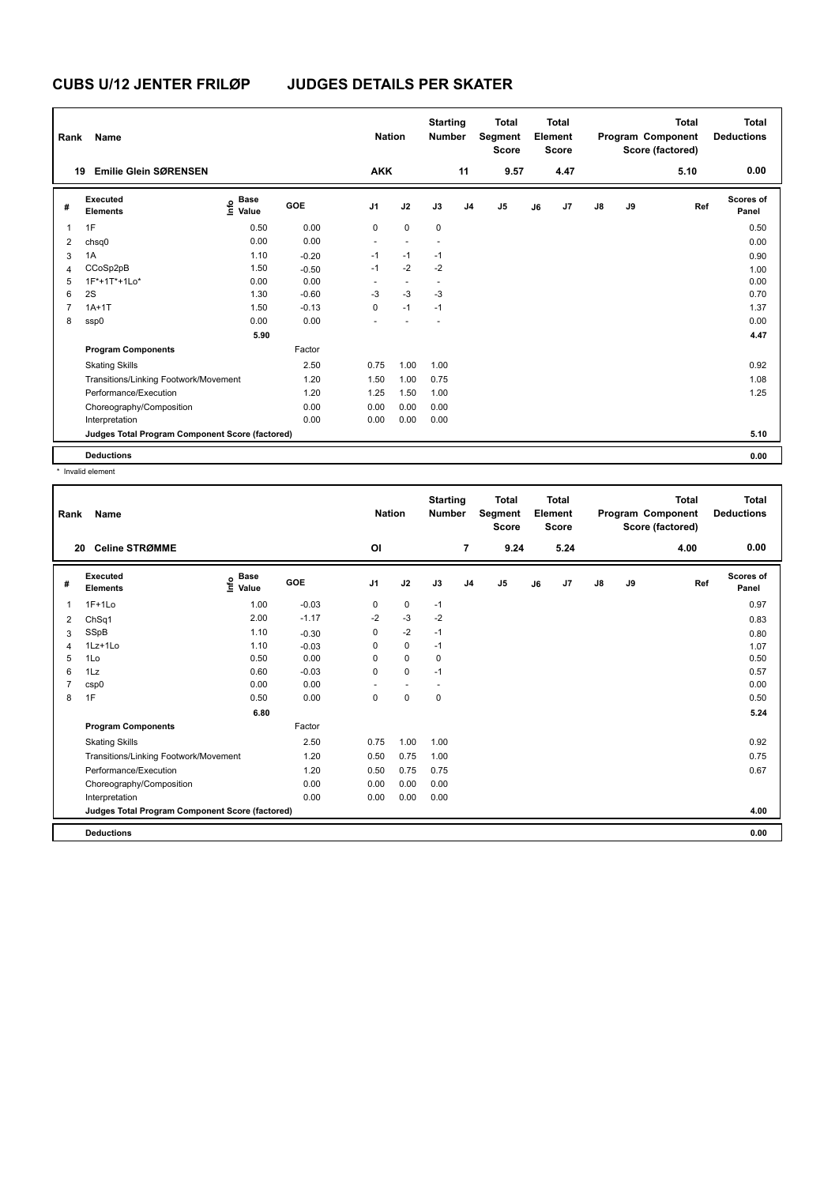| Rank           | Name                                            |                                       |            | <b>Nation</b>  |                          | <b>Starting</b><br><b>Number</b> |                | <b>Total</b><br>Segment<br><b>Score</b> |    | Total<br>Element<br><b>Score</b> |               |    | <b>Total</b><br>Program Component<br>Score (factored) | <b>Total</b><br><b>Deductions</b> |
|----------------|-------------------------------------------------|---------------------------------------|------------|----------------|--------------------------|----------------------------------|----------------|-----------------------------------------|----|----------------------------------|---------------|----|-------------------------------------------------------|-----------------------------------|
| 19             | <b>Emilie Glein SØRENSEN</b>                    |                                       |            | <b>AKK</b>     |                          |                                  | 11             | 9.57                                    |    | 4.47                             |               |    | 5.10                                                  | 0.00                              |
| #              | Executed<br><b>Elements</b>                     | <b>Base</b><br>$\sum_{i=1}^{6}$ Value | <b>GOE</b> | J <sub>1</sub> | J2                       | J3                               | J <sub>4</sub> | J <sub>5</sub>                          | J6 | J7                               | $\mathsf{J}8$ | J9 | Ref                                                   | Scores of<br>Panel                |
| 1              | 1F                                              | 0.50                                  | 0.00       | 0              | $\mathbf 0$              | 0                                |                |                                         |    |                                  |               |    |                                                       | 0.50                              |
| 2              | chsq0                                           | 0.00                                  | 0.00       | $\overline{a}$ |                          | ٠                                |                |                                         |    |                                  |               |    |                                                       | 0.00                              |
| 3              | 1A                                              | 1.10                                  | $-0.20$    | $-1$           | $-1$                     | $-1$                             |                |                                         |    |                                  |               |    |                                                       | 0.90                              |
| $\overline{4}$ | CCoSp2pB                                        | 1.50                                  | $-0.50$    | $-1$           | $-2$                     | $-2$                             |                |                                         |    |                                  |               |    |                                                       | 1.00                              |
| 5              | 1F*+1T*+1Lo*                                    | 0.00                                  | 0.00       | ٠              | $\overline{\phantom{a}}$ | $\overline{\phantom{a}}$         |                |                                         |    |                                  |               |    |                                                       | 0.00                              |
| 6              | 2S                                              | 1.30                                  | $-0.60$    | $-3$           | $-3$                     | $-3$                             |                |                                         |    |                                  |               |    |                                                       | 0.70                              |
| $\overline{7}$ | $1A+1T$                                         | 1.50                                  | $-0.13$    | 0              | $-1$                     | $-1$                             |                |                                         |    |                                  |               |    |                                                       | 1.37                              |
| 8              | ssp0                                            | 0.00                                  | 0.00       | ٠              |                          | $\overline{\phantom{a}}$         |                |                                         |    |                                  |               |    |                                                       | 0.00                              |
|                |                                                 | 5.90                                  |            |                |                          |                                  |                |                                         |    |                                  |               |    |                                                       | 4.47                              |
|                | <b>Program Components</b>                       |                                       | Factor     |                |                          |                                  |                |                                         |    |                                  |               |    |                                                       |                                   |
|                | <b>Skating Skills</b>                           |                                       | 2.50       | 0.75           | 1.00                     | 1.00                             |                |                                         |    |                                  |               |    |                                                       | 0.92                              |
|                | Transitions/Linking Footwork/Movement           |                                       | 1.20       | 1.50           | 1.00                     | 0.75                             |                |                                         |    |                                  |               |    |                                                       | 1.08                              |
|                | Performance/Execution                           |                                       | 1.20       | 1.25           | 1.50                     | 1.00                             |                |                                         |    |                                  |               |    |                                                       | 1.25                              |
|                | Choreography/Composition                        |                                       | 0.00       | 0.00           | 0.00                     | 0.00                             |                |                                         |    |                                  |               |    |                                                       |                                   |
|                | Interpretation                                  |                                       | 0.00       | 0.00           | 0.00                     | 0.00                             |                |                                         |    |                                  |               |    |                                                       |                                   |
|                | Judges Total Program Component Score (factored) |                                       |            |                |                          |                                  |                |                                         |    |                                  |               |    |                                                       | 5.10                              |
|                | <b>Deductions</b>                               |                                       |            |                |                          |                                  |                |                                         |    |                                  |               |    |                                                       | 0.00                              |

\* Invalid element

| Rank | Name                                            |                                  |            | <b>Nation</b>  |             | <b>Starting</b><br><b>Number</b> |                | <b>Total</b><br>Segment<br><b>Score</b> |    | Total<br>Element<br><b>Score</b> |               |    | <b>Total</b><br>Program Component<br>Score (factored) | Total<br><b>Deductions</b> |
|------|-------------------------------------------------|----------------------------------|------------|----------------|-------------|----------------------------------|----------------|-----------------------------------------|----|----------------------------------|---------------|----|-------------------------------------------------------|----------------------------|
| 20   | <b>Celine STRØMME</b>                           |                                  |            | O <sub>l</sub> |             |                                  | $\overline{7}$ | 9.24                                    |    | 5.24                             |               |    | 4.00                                                  | 0.00                       |
| #    | Executed<br><b>Elements</b>                     | <b>Base</b><br>e Base<br>⊆ Value | <b>GOE</b> | J <sub>1</sub> | J2          | J3                               | J <sub>4</sub> | J5                                      | J6 | J7                               | $\mathsf{J}8$ | J9 | Ref                                                   | Scores of<br>Panel         |
| 1    | $1F+1Lo$                                        | 1.00                             | $-0.03$    | 0              | 0           | $-1$                             |                |                                         |    |                                  |               |    |                                                       | 0.97                       |
| 2    | ChSq1                                           | 2.00                             | $-1.17$    | $-2$           | $-3$        | $-2$                             |                |                                         |    |                                  |               |    |                                                       | 0.83                       |
| 3    | SSpB                                            | 1.10                             | $-0.30$    | 0              | $-2$        | $-1$                             |                |                                         |    |                                  |               |    |                                                       | 0.80                       |
| 4    | 1Lz+1Lo                                         | 1.10                             | $-0.03$    | 0              | $\mathbf 0$ | $-1$                             |                |                                         |    |                                  |               |    |                                                       | 1.07                       |
| 5    | 1Lo                                             | 0.50                             | 0.00       | 0              | 0           | 0                                |                |                                         |    |                                  |               |    |                                                       | 0.50                       |
| 6    | 1Lz                                             | 0.60                             | $-0.03$    | $\Omega$       | $\Omega$    | $-1$                             |                |                                         |    |                                  |               |    |                                                       | 0.57                       |
| 7    | csp0                                            | 0.00                             | 0.00       |                | $\sim$      |                                  |                |                                         |    |                                  |               |    |                                                       | 0.00                       |
| 8    | 1F                                              | 0.50                             | 0.00       | $\mathbf 0$    | $\pmb{0}$   | 0                                |                |                                         |    |                                  |               |    |                                                       | 0.50                       |
|      |                                                 | 6.80                             |            |                |             |                                  |                |                                         |    |                                  |               |    |                                                       | 5.24                       |
|      | <b>Program Components</b>                       |                                  | Factor     |                |             |                                  |                |                                         |    |                                  |               |    |                                                       |                            |
|      | <b>Skating Skills</b>                           |                                  | 2.50       | 0.75           | 1.00        | 1.00                             |                |                                         |    |                                  |               |    |                                                       | 0.92                       |
|      | Transitions/Linking Footwork/Movement           |                                  | 1.20       | 0.50           | 0.75        | 1.00                             |                |                                         |    |                                  |               |    |                                                       | 0.75                       |
|      | Performance/Execution                           |                                  | 1.20       | 0.50           | 0.75        | 0.75                             |                |                                         |    |                                  |               |    |                                                       | 0.67                       |
|      | Choreography/Composition                        |                                  | 0.00       | 0.00           | 0.00        | 0.00                             |                |                                         |    |                                  |               |    |                                                       |                            |
|      | Interpretation                                  |                                  | 0.00       | 0.00           | 0.00        | 0.00                             |                |                                         |    |                                  |               |    |                                                       |                            |
|      | Judges Total Program Component Score (factored) |                                  |            |                |             |                                  |                |                                         |    |                                  |               |    |                                                       | 4.00                       |
|      | <b>Deductions</b>                               |                                  |            |                |             |                                  |                |                                         |    |                                  |               |    |                                                       | 0.00                       |